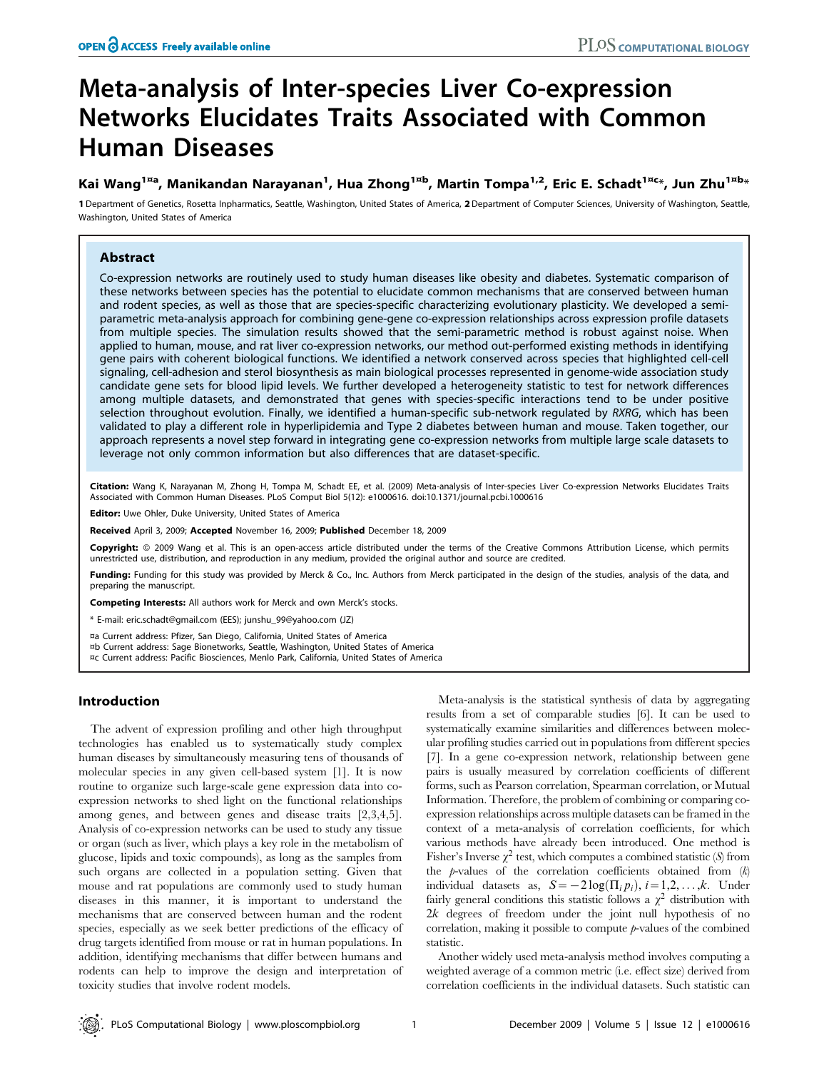## Meta-analysis of Inter-species Liver Co-expression Networks Elucidates Traits Associated with Common Human Diseases

## Kai Wang<sup>1¤a</sup>, Manikandan Narayanan<sup>1</sup>, Hua Zhong<sup>1¤b</sup>, Martin Tompa<sup>1,2</sup>, Eric E. Schadt<sup>1¤c</sup>\*, Jun Zhu<sup>1¤b</sup>\*

1 Department of Genetics, Rosetta Inpharmatics, Seattle, Washington, United States of America, 2 Department of Computer Sciences, University of Washington, Seattle, Washington, United States of America

## Abstract

Co-expression networks are routinely used to study human diseases like obesity and diabetes. Systematic comparison of these networks between species has the potential to elucidate common mechanisms that are conserved between human and rodent species, as well as those that are species-specific characterizing evolutionary plasticity. We developed a semiparametric meta-analysis approach for combining gene-gene co-expression relationships across expression profile datasets from multiple species. The simulation results showed that the semi-parametric method is robust against noise. When applied to human, mouse, and rat liver co-expression networks, our method out-performed existing methods in identifying gene pairs with coherent biological functions. We identified a network conserved across species that highlighted cell-cell signaling, cell-adhesion and sterol biosynthesis as main biological processes represented in genome-wide association study candidate gene sets for blood lipid levels. We further developed a heterogeneity statistic to test for network differences among multiple datasets, and demonstrated that genes with species-specific interactions tend to be under positive selection throughout evolution. Finally, we identified a human-specific sub-network regulated by RXRG, which has been validated to play a different role in hyperlipidemia and Type 2 diabetes between human and mouse. Taken together, our approach represents a novel step forward in integrating gene co-expression networks from multiple large scale datasets to leverage not only common information but also differences that are dataset-specific.

Citation: Wang K, Narayanan M, Zhong H, Tompa M, Schadt EE, et al. (2009) Meta-analysis of Inter-species Liver Co-expression Networks Elucidates Traits Associated with Common Human Diseases. PLoS Comput Biol 5(12): e1000616. doi:10.1371/journal.pcbi.1000616

Editor: Uwe Ohler, Duke University, United States of America

Received April 3, 2009; Accepted November 16, 2009; Published December 18, 2009

Copyright: @ 2009 Wang et al. This is an open-access article distributed under the terms of the Creative Commons Attribution License, which permits unrestricted use, distribution, and reproduction in any medium, provided the original author and source are credited.

**Funding:** Funding for this study was provided by Merck & Co., Inc. Authors from Merck participated in the design of the studies, analysis of the data, and preparing the manuscript.

Competing Interests: All authors work for Merck and own Merck's stocks.

\* E-mail: eric.schadt@gmail.com (EES); junshu\_99@yahoo.com (JZ)

¤a Current address: Pfizer, San Diego, California, United States of America

¤b Current address: Sage Bionetworks, Seattle, Washington, United States of America

¤c Current address: Pacific Biosciences, Menlo Park, California, United States of America

## Introduction

The advent of expression profiling and other high throughput technologies has enabled us to systematically study complex human diseases by simultaneously measuring tens of thousands of molecular species in any given cell-based system [1]. It is now routine to organize such large-scale gene expression data into coexpression networks to shed light on the functional relationships among genes, and between genes and disease traits [2,3,4,5]. Analysis of co-expression networks can be used to study any tissue or organ (such as liver, which plays a key role in the metabolism of glucose, lipids and toxic compounds), as long as the samples from such organs are collected in a population setting. Given that mouse and rat populations are commonly used to study human diseases in this manner, it is important to understand the mechanisms that are conserved between human and the rodent species, especially as we seek better predictions of the efficacy of drug targets identified from mouse or rat in human populations. In addition, identifying mechanisms that differ between humans and rodents can help to improve the design and interpretation of toxicity studies that involve rodent models.

Meta-analysis is the statistical synthesis of data by aggregating results from a set of comparable studies [6]. It can be used to systematically examine similarities and differences between molecular profiling studies carried out in populations from different species [7]. In a gene co-expression network, relationship between gene pairs is usually measured by correlation coefficients of different forms, such as Pearson correlation, Spearman correlation, or Mutual Information. Therefore, the problem of combining or comparing coexpression relationships across multiple datasets can be framed in the context of a meta-analysis of correlation coefficients, for which various methods have already been introduced. One method is Fisher's Inverse  $\chi^2$  test, which computes a combined statistic (S) from the  $p$ -values of the correlation coefficients obtained from  $(k)$ individual datasets as,  $S = -2 \log(\Pi_i p_i)$ ,  $i = 1, 2, ..., k$ . Under fairly general conditions this statistic follows a  $\chi^2$  distribution with  $2k$  degrees of freedom under the joint null hypothesis of no correlation, making it possible to compute  $p$ -values of the combined statistic.

Another widely used meta-analysis method involves computing a weighted average of a common metric (i.e. effect size) derived from correlation coefficients in the individual datasets. Such statistic can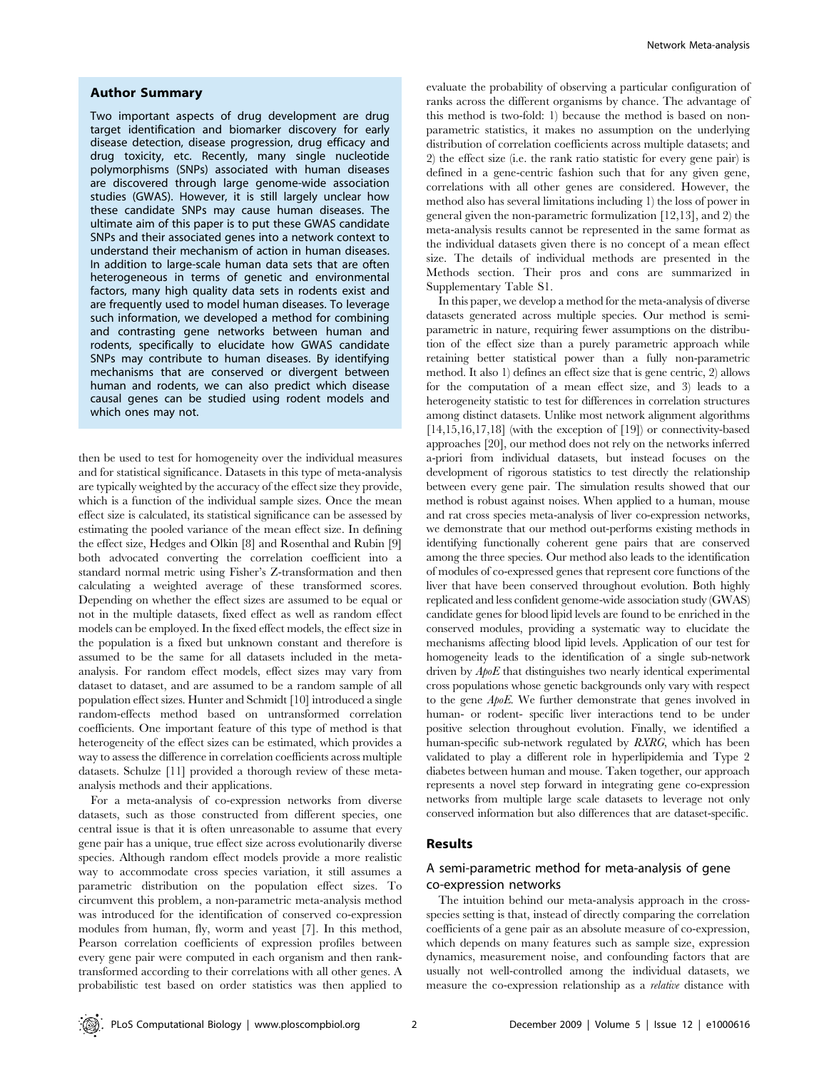#### Author Summary

Two important aspects of drug development are drug target identification and biomarker discovery for early disease detection, disease progression, drug efficacy and drug toxicity, etc. Recently, many single nucleotide polymorphisms (SNPs) associated with human diseases are discovered through large genome-wide association studies (GWAS). However, it is still largely unclear how these candidate SNPs may cause human diseases. The ultimate aim of this paper is to put these GWAS candidate SNPs and their associated genes into a network context to understand their mechanism of action in human diseases. In addition to large-scale human data sets that are often heterogeneous in terms of genetic and environmental factors, many high quality data sets in rodents exist and are frequently used to model human diseases. To leverage such information, we developed a method for combining and contrasting gene networks between human and rodents, specifically to elucidate how GWAS candidate SNPs may contribute to human diseases. By identifying mechanisms that are conserved or divergent between human and rodents, we can also predict which disease causal genes can be studied using rodent models and which ones may not.

then be used to test for homogeneity over the individual measures and for statistical significance. Datasets in this type of meta-analysis are typically weighted by the accuracy of the effect size they provide, which is a function of the individual sample sizes. Once the mean effect size is calculated, its statistical significance can be assessed by estimating the pooled variance of the mean effect size. In defining the effect size, Hedges and Olkin [8] and Rosenthal and Rubin [9] both advocated converting the correlation coefficient into a standard normal metric using Fisher's Z-transformation and then calculating a weighted average of these transformed scores. Depending on whether the effect sizes are assumed to be equal or not in the multiple datasets, fixed effect as well as random effect models can be employed. In the fixed effect models, the effect size in the population is a fixed but unknown constant and therefore is assumed to be the same for all datasets included in the metaanalysis. For random effect models, effect sizes may vary from dataset to dataset, and are assumed to be a random sample of all population effect sizes. Hunter and Schmidt [10] introduced a single random-effects method based on untransformed correlation coefficients. One important feature of this type of method is that heterogeneity of the effect sizes can be estimated, which provides a way to assess the difference in correlation coefficients across multiple datasets. Schulze [11] provided a thorough review of these metaanalysis methods and their applications.

For a meta-analysis of co-expression networks from diverse datasets, such as those constructed from different species, one central issue is that it is often unreasonable to assume that every gene pair has a unique, true effect size across evolutionarily diverse species. Although random effect models provide a more realistic way to accommodate cross species variation, it still assumes a parametric distribution on the population effect sizes. To circumvent this problem, a non-parametric meta-analysis method was introduced for the identification of conserved co-expression modules from human, fly, worm and yeast [7]. In this method, Pearson correlation coefficients of expression profiles between every gene pair were computed in each organism and then ranktransformed according to their correlations with all other genes. A probabilistic test based on order statistics was then applied to

evaluate the probability of observing a particular configuration of ranks across the different organisms by chance. The advantage of this method is two-fold: 1) because the method is based on nonparametric statistics, it makes no assumption on the underlying distribution of correlation coefficients across multiple datasets; and 2) the effect size (i.e. the rank ratio statistic for every gene pair) is defined in a gene-centric fashion such that for any given gene, correlations with all other genes are considered. However, the method also has several limitations including 1) the loss of power in general given the non-parametric formulization [12,13], and 2) the meta-analysis results cannot be represented in the same format as the individual datasets given there is no concept of a mean effect size. The details of individual methods are presented in the Methods section. Their pros and cons are summarized in Supplementary Table S1.

In this paper, we develop a method for the meta-analysis of diverse datasets generated across multiple species. Our method is semiparametric in nature, requiring fewer assumptions on the distribution of the effect size than a purely parametric approach while retaining better statistical power than a fully non-parametric method. It also 1) defines an effect size that is gene centric, 2) allows for the computation of a mean effect size, and 3) leads to a heterogeneity statistic to test for differences in correlation structures among distinct datasets. Unlike most network alignment algorithms  $[14,15,16,17,18]$  (with the exception of  $[19]$ ) or connectivity-based approaches [20], our method does not rely on the networks inferred a-priori from individual datasets, but instead focuses on the development of rigorous statistics to test directly the relationship between every gene pair. The simulation results showed that our method is robust against noises. When applied to a human, mouse and rat cross species meta-analysis of liver co-expression networks, we demonstrate that our method out-performs existing methods in identifying functionally coherent gene pairs that are conserved among the three species. Our method also leads to the identification of modules of co-expressed genes that represent core functions of the liver that have been conserved throughout evolution. Both highly replicated and less confident genome-wide association study (GWAS) candidate genes for blood lipid levels are found to be enriched in the conserved modules, providing a systematic way to elucidate the mechanisms affecting blood lipid levels. Application of our test for homogeneity leads to the identification of a single sub-network driven by ApoE that distinguishes two nearly identical experimental cross populations whose genetic backgrounds only vary with respect to the gene ApoE. We further demonstrate that genes involved in human- or rodent- specific liver interactions tend to be under positive selection throughout evolution. Finally, we identified a human-specific sub-network regulated by RXRG, which has been validated to play a different role in hyperlipidemia and Type 2 diabetes between human and mouse. Taken together, our approach represents a novel step forward in integrating gene co-expression networks from multiple large scale datasets to leverage not only conserved information but also differences that are dataset-specific.

## Results

## A semi-parametric method for meta-analysis of gene co-expression networks

The intuition behind our meta-analysis approach in the crossspecies setting is that, instead of directly comparing the correlation coefficients of a gene pair as an absolute measure of co-expression, which depends on many features such as sample size, expression dynamics, measurement noise, and confounding factors that are usually not well-controlled among the individual datasets, we measure the co-expression relationship as a relative distance with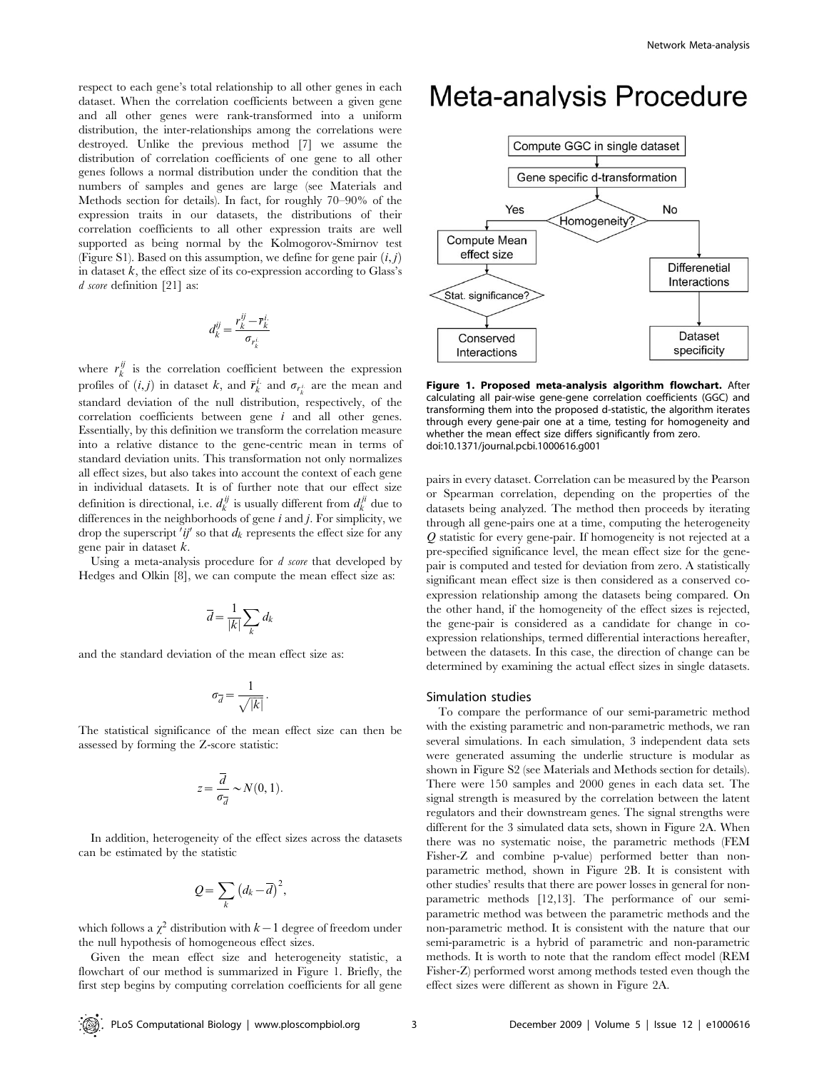respect to each gene's total relationship to all other genes in each dataset. When the correlation coefficients between a given gene and all other genes were rank-transformed into a uniform distribution, the inter-relationships among the correlations were destroyed. Unlike the previous method [7] we assume the distribution of correlation coefficients of one gene to all other genes follows a normal distribution under the condition that the numbers of samples and genes are large (see Materials and Methods section for details). In fact, for roughly 70–90% of the expression traits in our datasets, the distributions of their correlation coefficients to all other expression traits are well supported as being normal by the Kolmogorov-Smirnov test (Figure S1). Based on this assumption, we define for gene pair  $(i, j)$ in dataset  $k$ , the effect size of its co-expression according to Glass's d score definition [21] as:

$$
d_k^{ij} = \frac{r_k^{ij} - \overline{r}_k^{i}}{\sigma_{r_k^{i}}}
$$

where  $r_k^{ij}$  is the correlation coefficient between the expression profiles of  $(i, j)$  in dataset k, and  $\bar{r}_k^i$  and  $\sigma_{r_k^i}$  are the mean and standard deviation of the null distribution, respectively, of the correlation coefficients between gene i and all other genes. Essentially, by this definition we transform the correlation measure into a relative distance to the gene-centric mean in terms of standard deviation units. This transformation not only normalizes all effect sizes, but also takes into account the context of each gene in individual datasets. It is of further note that our effect size definition is directional, i.e.  $d_k^{ij}$  is usually different from  $d_k^{ji}$  due to differences in the neighborhoods of gene  $i$  and  $j$ . For simplicity, we drop the superscript  $'ij'$  so that  $d_k$  represents the effect size for any gene pair in dataset k.

Using a meta-analysis procedure for  $d$  score that developed by Hedges and Olkin [8], we can compute the mean effect size as:

$$
\overline{d} = \frac{1}{|k|} \sum_{k} d_k
$$

and the standard deviation of the mean effect size as:

$$
\sigma_{\overline{d}} = \frac{1}{\sqrt{|k|}}.
$$

The statistical significance of the mean effect size can then be assessed by forming the Z-score statistic:

$$
z = \frac{\overline{d}}{\sigma_{\overline{d}}} \sim N(0, 1).
$$

In addition, heterogeneity of the effect sizes across the datasets can be estimated by the statistic

$$
Q = \sum_{k} \left( d_{k} - \overline{d} \right)^{2},
$$

which follows a  $\chi^2$  distribution with  $k-1$  degree of freedom under the null hypothesis of homogeneous effect sizes.

Given the mean effect size and heterogeneity statistic, a flowchart of our method is summarized in Figure 1. Briefly, the first step begins by computing correlation coefficients for all gene

# **Meta-analysis Procedure**



Figure 1. Proposed meta-analysis algorithm flowchart. After calculating all pair-wise gene-gene correlation coefficients (GGC) and transforming them into the proposed d-statistic, the algorithm iterates through every gene-pair one at a time, testing for homogeneity and whether the mean effect size differs significantly from zero. doi:10.1371/journal.pcbi.1000616.g001

pairs in every dataset. Correlation can be measured by the Pearson or Spearman correlation, depending on the properties of the datasets being analyzed. The method then proceeds by iterating through all gene-pairs one at a time, computing the heterogeneity Q statistic for every gene-pair. If homogeneity is not rejected at a pre-specified significance level, the mean effect size for the genepair is computed and tested for deviation from zero. A statistically significant mean effect size is then considered as a conserved coexpression relationship among the datasets being compared. On the other hand, if the homogeneity of the effect sizes is rejected, the gene-pair is considered as a candidate for change in coexpression relationships, termed differential interactions hereafter, between the datasets. In this case, the direction of change can be determined by examining the actual effect sizes in single datasets.

#### Simulation studies

To compare the performance of our semi-parametric method with the existing parametric and non-parametric methods, we ran several simulations. In each simulation, 3 independent data sets were generated assuming the underlie structure is modular as shown in Figure S2 (see Materials and Methods section for details). There were 150 samples and 2000 genes in each data set. The signal strength is measured by the correlation between the latent regulators and their downstream genes. The signal strengths were different for the 3 simulated data sets, shown in Figure 2A. When there was no systematic noise, the parametric methods (FEM Fisher-Z and combine p-value) performed better than nonparametric method, shown in Figure 2B. It is consistent with other studies' results that there are power losses in general for nonparametric methods [12,13]. The performance of our semiparametric method was between the parametric methods and the non-parametric method. It is consistent with the nature that our semi-parametric is a hybrid of parametric and non-parametric methods. It is worth to note that the random effect model (REM Fisher-Z) performed worst among methods tested even though the effect sizes were different as shown in Figure 2A.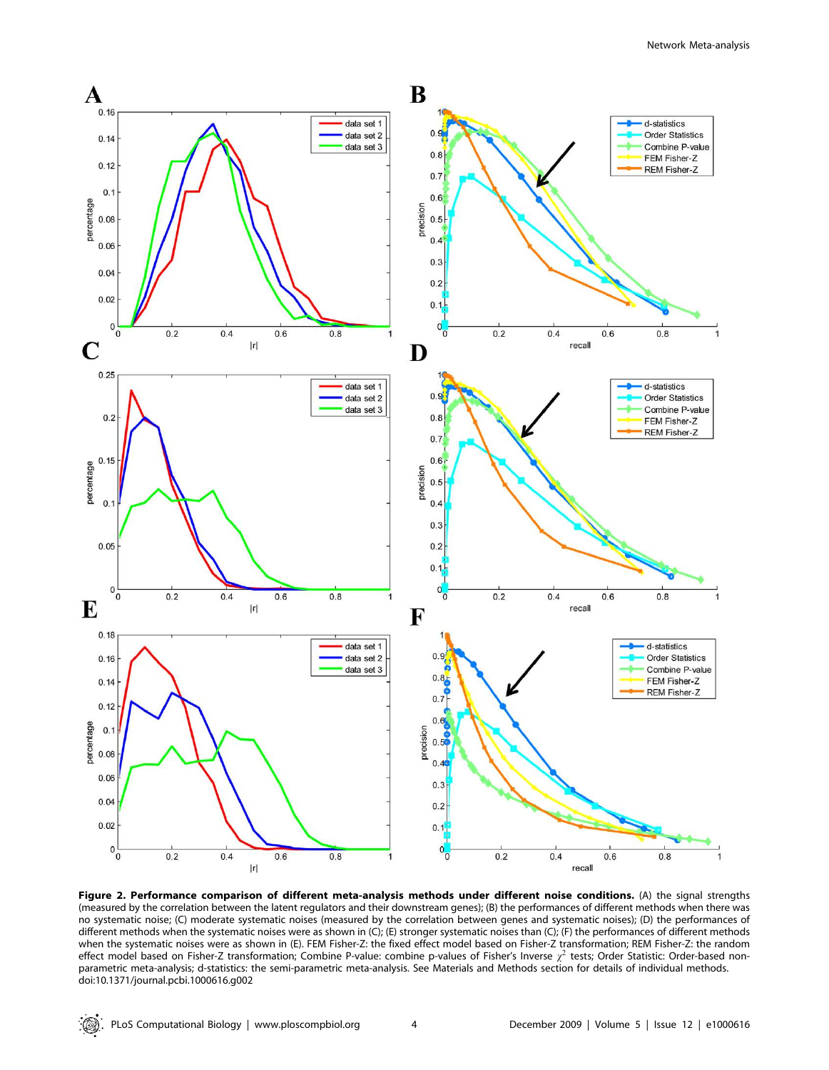

Figure 2. Performance comparison of different meta-analysis methods under different noise conditions. (A) the signal strengths (measured by the correlation between the latent regulators and their downstream genes); (B) the performances of different methods when there was no systematic noise; (C) moderate systematic noises (measured by the correlation between genes and systematic noises); (D) the performances of different methods when the systematic noises were as shown in (C); (E) stronger systematic noises than (C); (F) the performances of different methods when the systematic noises were as shown in (E). FEM Fisher-Z: the fixed effect model based on Fisher-Z transformation; REM Fisher-Z: the random effect model based on Fisher-Z transformation; Combine P-value: combine p-values of Fisher's Inverse  $\chi^2$  tests; Order Statistic: Order-based nonparametric meta-analysis; d-statistics: the semi-parametric meta-analysis. See Materials and Methods section for details of individual methods. doi:10.1371/journal.pcbi.1000616.g002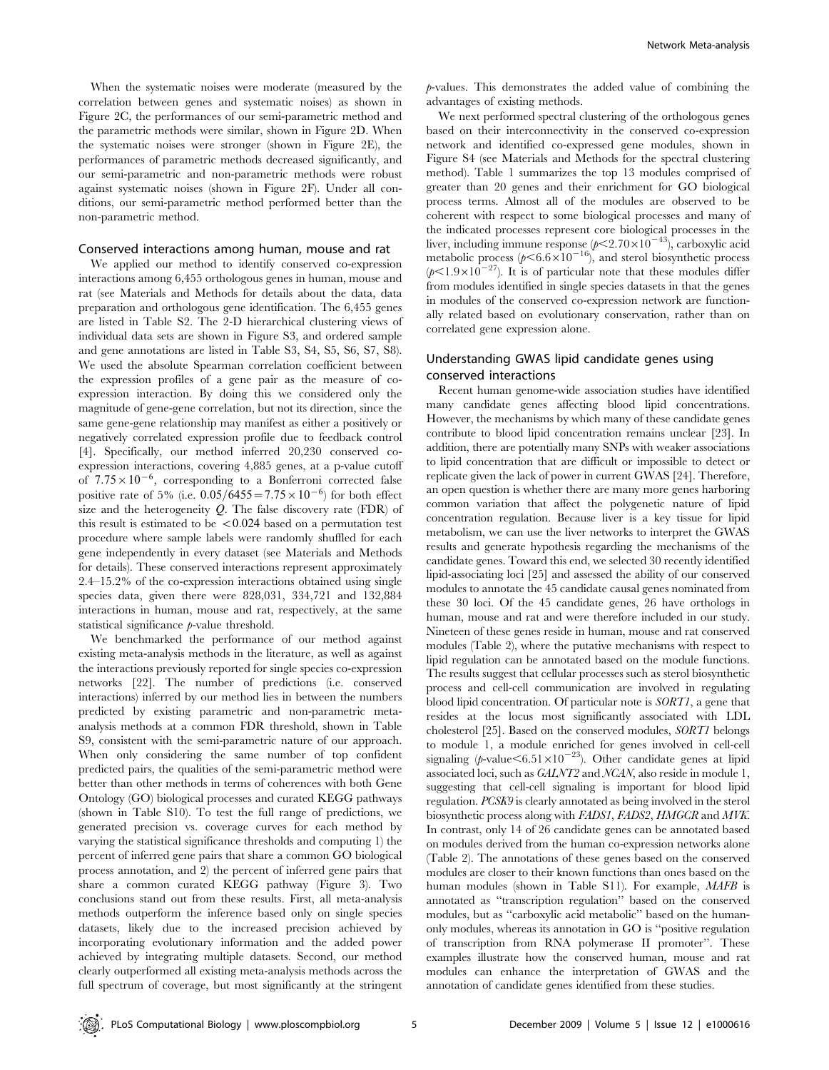When the systematic noises were moderate (measured by the correlation between genes and systematic noises) as shown in Figure 2C, the performances of our semi-parametric method and the parametric methods were similar, shown in Figure 2D. When the systematic noises were stronger (shown in Figure 2E), the performances of parametric methods decreased significantly, and our semi-parametric and non-parametric methods were robust against systematic noises (shown in Figure 2F). Under all conditions, our semi-parametric method performed better than the non-parametric method.

#### Conserved interactions among human, mouse and rat

We applied our method to identify conserved co-expression interactions among 6,455 orthologous genes in human, mouse and rat (see Materials and Methods for details about the data, data preparation and orthologous gene identification. The 6,455 genes are listed in Table S2. The 2-D hierarchical clustering views of individual data sets are shown in Figure S3, and ordered sample and gene annotations are listed in Table S3, S4, S5, S6, S7, S8). We used the absolute Spearman correlation coefficient between the expression profiles of a gene pair as the measure of coexpression interaction. By doing this we considered only the magnitude of gene-gene correlation, but not its direction, since the same gene-gene relationship may manifest as either a positively or negatively correlated expression profile due to feedback control [4]. Specifically, our method inferred 20,230 conserved coexpression interactions, covering 4,885 genes, at a p-value cutoff of  $7.75 \times 10^{-6}$ , corresponding to a Bonferroni corrected false positive rate of 5% (i.e.  $0.05/\overline{6455} = 7.75 \times 10^{-6}$ ) for both effect size and the heterogeneity  $Q$ . The false discovery rate (FDR) of this result is estimated to be  $\langle 0.024 \rangle$  based on a permutation test procedure where sample labels were randomly shuffled for each gene independently in every dataset (see Materials and Methods for details). These conserved interactions represent approximately 2.4–15.2% of the co-expression interactions obtained using single species data, given there were 828,031, 334,721 and 132,884 interactions in human, mouse and rat, respectively, at the same statistical significance  $p$ -value threshold.

We benchmarked the performance of our method against existing meta-analysis methods in the literature, as well as against the interactions previously reported for single species co-expression networks [22]. The number of predictions (i.e. conserved interactions) inferred by our method lies in between the numbers predicted by existing parametric and non-parametric metaanalysis methods at a common FDR threshold, shown in Table S9, consistent with the semi-parametric nature of our approach. When only considering the same number of top confident predicted pairs, the qualities of the semi-parametric method were better than other methods in terms of coherences with both Gene Ontology (GO) biological processes and curated KEGG pathways (shown in Table S10). To test the full range of predictions, we generated precision vs. coverage curves for each method by varying the statistical significance thresholds and computing 1) the percent of inferred gene pairs that share a common GO biological process annotation, and 2) the percent of inferred gene pairs that share a common curated KEGG pathway (Figure 3). Two conclusions stand out from these results. First, all meta-analysis methods outperform the inference based only on single species datasets, likely due to the increased precision achieved by incorporating evolutionary information and the added power achieved by integrating multiple datasets. Second, our method clearly outperformed all existing meta-analysis methods across the full spectrum of coverage, but most significantly at the stringent

p-values. This demonstrates the added value of combining the advantages of existing methods.

We next performed spectral clustering of the orthologous genes based on their interconnectivity in the conserved co-expression network and identified co-expressed gene modules, shown in Figure S4 (see Materials and Methods for the spectral clustering method). Table 1 summarizes the top 13 modules comprised of greater than 20 genes and their enrichment for GO biological process terms. Almost all of the modules are observed to be coherent with respect to some biological processes and many of the indicated processes represent core biological processes in the liver, including immune response  $(p<2.70\times10^{-43})$ , carboxylic acid metabolic process  $(p<6.6\times10^{-16})$ , and sterol biosynthetic process  $(p<1.9\times10^{-27})$ . It is of particular note that these modules differ from modules identified in single species datasets in that the genes in modules of the conserved co-expression network are functionally related based on evolutionary conservation, rather than on correlated gene expression alone.

## Understanding GWAS lipid candidate genes using conserved interactions

Recent human genome-wide association studies have identified many candidate genes affecting blood lipid concentrations. However, the mechanisms by which many of these candidate genes contribute to blood lipid concentration remains unclear [23]. In addition, there are potentially many SNPs with weaker associations to lipid concentration that are difficult or impossible to detect or replicate given the lack of power in current GWAS [24]. Therefore, an open question is whether there are many more genes harboring common variation that affect the polygenetic nature of lipid concentration regulation. Because liver is a key tissue for lipid metabolism, we can use the liver networks to interpret the GWAS results and generate hypothesis regarding the mechanisms of the candidate genes. Toward this end, we selected 30 recently identified lipid-associating loci [25] and assessed the ability of our conserved modules to annotate the 45 candidate causal genes nominated from these 30 loci. Of the 45 candidate genes, 26 have orthologs in human, mouse and rat and were therefore included in our study. Nineteen of these genes reside in human, mouse and rat conserved modules (Table 2), where the putative mechanisms with respect to lipid regulation can be annotated based on the module functions. The results suggest that cellular processes such as sterol biosynthetic process and cell-cell communication are involved in regulating blood lipid concentration. Of particular note is SORT1, a gene that resides at the locus most significantly associated with LDL cholesterol [25]. Based on the conserved modules, SORT1 belongs to module 1, a module enriched for genes involved in cell-cell signaling (p-value $\leq 6.51 \times 10^{-23}$ ). Other candidate genes at lipid associated loci, such as GALNT2 and NCAN, also reside in module 1, suggesting that cell-cell signaling is important for blood lipid regulation. PCSK9 is clearly annotated as being involved in the sterol biosynthetic process along with FADS1, FADS2, HMGCR and MVK. In contrast, only 14 of 26 candidate genes can be annotated based on modules derived from the human co-expression networks alone (Table 2). The annotations of these genes based on the conserved modules are closer to their known functions than ones based on the human modules (shown in Table S11). For example, MAFB is annotated as ''transcription regulation'' based on the conserved modules, but as ''carboxylic acid metabolic'' based on the humanonly modules, whereas its annotation in GO is ''positive regulation of transcription from RNA polymerase II promoter''. These examples illustrate how the conserved human, mouse and rat modules can enhance the interpretation of GWAS and the annotation of candidate genes identified from these studies.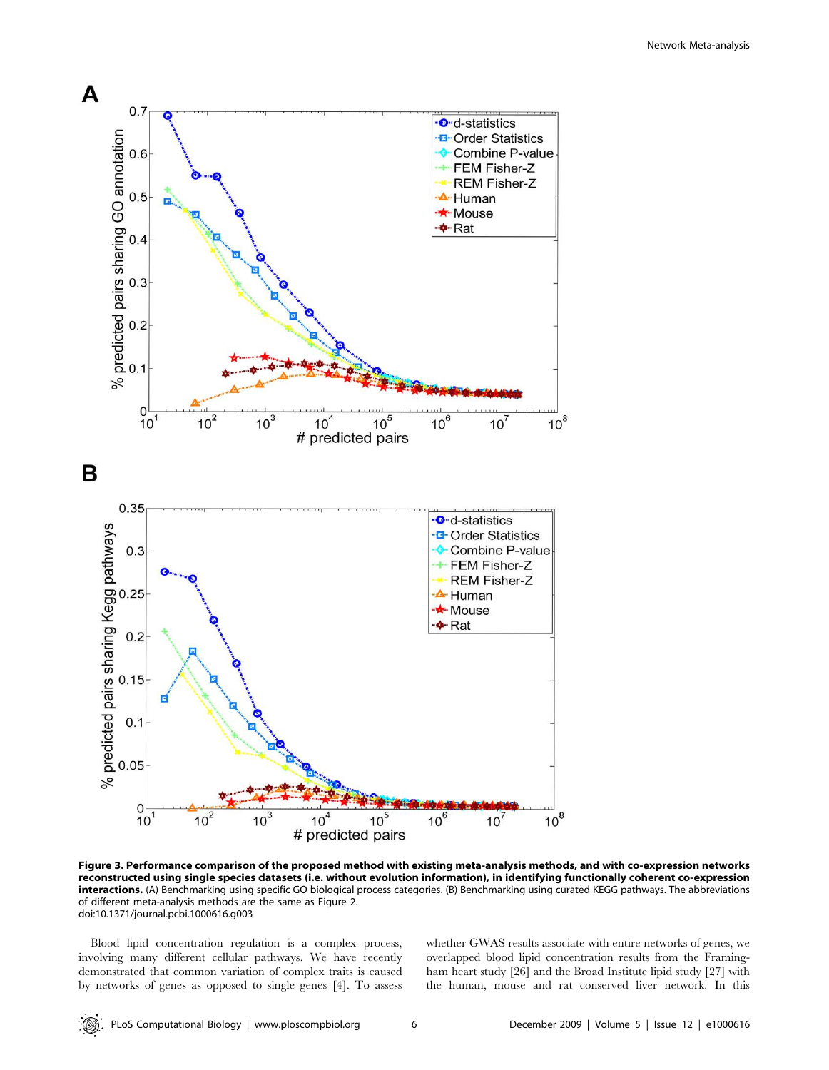

Figure 3. Performance comparison of the proposed method with existing meta-analysis methods, and with co-expression networks reconstructed using single species datasets (i.e. without evolution information), in identifying functionally coherent co-expression interactions. (A) Benchmarking using specific GO biological process categories. (B) Benchmarking using curated KEGG pathways. The abbreviations of different meta-analysis methods are the same as Figure 2. doi:10.1371/journal.pcbi.1000616.g003

Blood lipid concentration regulation is a complex process, involving many different cellular pathways. We have recently demonstrated that common variation of complex traits is caused by networks of genes as opposed to single genes [4]. To assess whether GWAS results associate with entire networks of genes, we overlapped blood lipid concentration results from the Framingham heart study [26] and the Broad Institute lipid study [27] with the human, mouse and rat conserved liver network. In this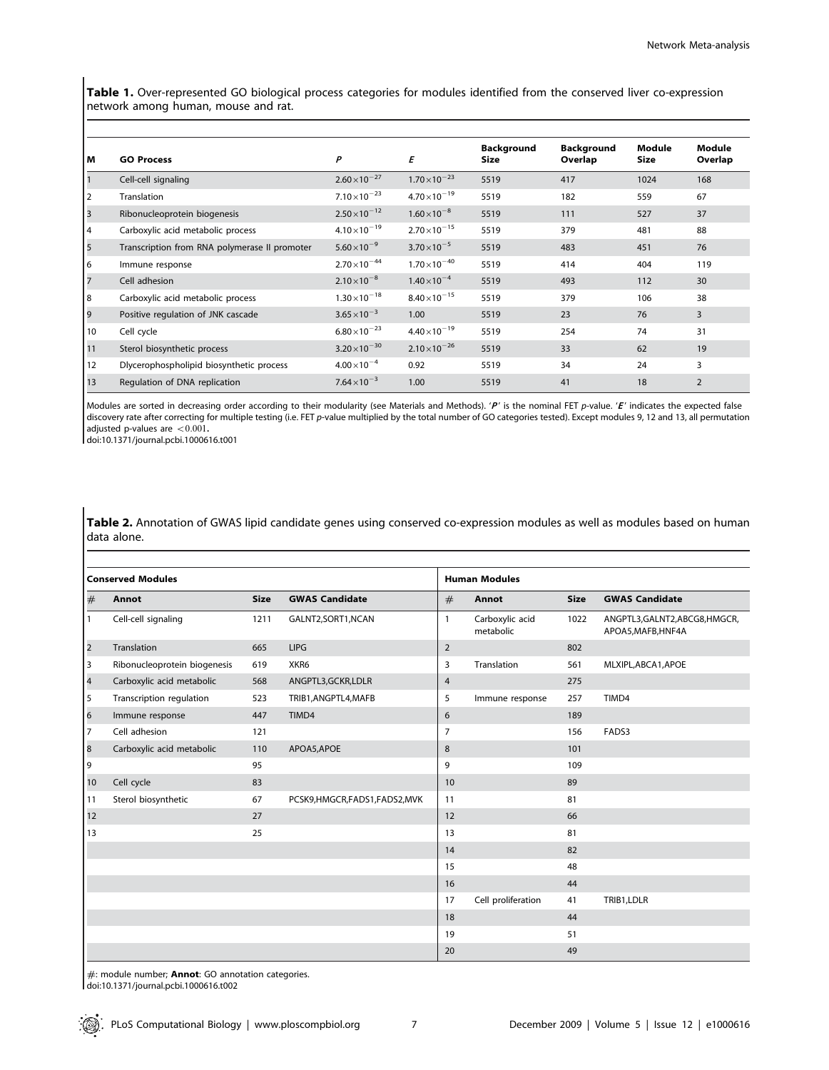Table 1. Over-represented GO biological process categories for modules identified from the conserved liver co-expression network among human, mouse and rat.

| lм                       | <b>GO Process</b>                             | P                      | Ε                      | <b>Background</b><br>Size | <b>Background</b><br>Overlap | Module<br>Size | Module<br>Overlap |
|--------------------------|-----------------------------------------------|------------------------|------------------------|---------------------------|------------------------------|----------------|-------------------|
| $\vert$ 1                | Cell-cell signaling                           | $2.60\times10^{-27}$   | $1.70\times10^{-23}$   | 5519                      | 417                          | 1024           | 168               |
| $\vert$ <sub>2</sub>     | Translation                                   | $7.10\times10^{-23}$   | $4.70 \times 10^{-19}$ | 5519                      | 182                          | 559            | 67                |
| $\overline{\mathbf{3}}$  | Ribonucleoprotein biogenesis                  | $2.50 \times 10^{-12}$ | $1.60\times10^{-8}$    | 5519                      | 111                          | 527            | 37                |
| 4                        | Carboxylic acid metabolic process             | $4.10 \times 10^{-19}$ | $2.70\times10^{-15}$   | 5519                      | 379                          | 481            | 88                |
| $\overline{\phantom{a}}$ | Transcription from RNA polymerase II promoter | $5.60\times10^{-9}$    | $3.70 \times 10^{-5}$  | 5519                      | 483                          | 451            | 76                |
| 6                        | Immune response                               | $2.70\times10^{-44}$   | $1.70\times10^{-40}$   | 5519                      | 414                          | 404            | 119               |
| $\vert$ 7                | Cell adhesion                                 | $2.10\times10^{-8}$    | $1.40\times10^{-4}$    | 5519                      | 493                          | 112            | 30                |
| 8                        | Carboxylic acid metabolic process             | $1.30\times10^{-18}$   | $8.40\times10^{-15}$   | 5519                      | 379                          | 106            | 38                |
| $\vert$ 9                | Positive regulation of JNK cascade            | $3.65 \times 10^{-3}$  | 1.00                   | 5519                      | 23                           | 76             | 3                 |
| 10                       | Cell cycle                                    | $6.80\times10^{-23}$   | $4.40\times10^{-19}$   | 5519                      | 254                          | 74             | 31                |
| $\vert$ 11               | Sterol biosynthetic process                   | $3.20\times10^{-30}$   | $2.10\times10^{-26}$   | 5519                      | 33                           | 62             | 19                |
| 12                       | Dlycerophospholipid biosynthetic process      | $4.00 \times 10^{-4}$  | 0.92                   | 5519                      | 34                           | 24             | 3                 |
| 13                       | Regulation of DNA replication                 | $7.64 \times 10^{-3}$  | 1.00                   | 5519                      | 41                           | 18             | $\overline{2}$    |

Modules are sorted in decreasing order according to their modularity (see Materials and Methods). ' $P'$  is the nominal FET p-value. 'E' indicates the expected false discovery rate after correcting for multiple testing (i.e. FET p-value multiplied by the total number of GO categories tested). Except modules 9, 12 and 13, all permutation adjusted p-values are  $< 0.001$ .

doi:10.1371/journal.pcbi.1000616.t001

Table 2. Annotation of GWAS lipid candidate genes using conserved co-expression modules as well as modules based on human data alone.

|                | <b>Conserved Modules</b>     |             |                             | <b>Human Modules</b> |                              |             |                                                   |
|----------------|------------------------------|-------------|-----------------------------|----------------------|------------------------------|-------------|---------------------------------------------------|
| #              | Annot                        | <b>Size</b> | <b>GWAS Candidate</b>       | #                    | Annot                        | <b>Size</b> | <b>GWAS Candidate</b>                             |
| $\mathbf{1}$   | Cell-cell signaling          | 1211        | GALNT2,SORT1,NCAN           | $\mathbf{1}$         | Carboxylic acid<br>metabolic | 1022        | ANGPTL3,GALNT2,ABCG8,HMGCR,<br>APOA5, MAFB, HNF4A |
| $\overline{2}$ | Translation                  | 665         | <b>LIPG</b>                 | $\overline{2}$       |                              | 802         |                                                   |
| 3              | Ribonucleoprotein biogenesis | 619         | XKR6                        | 3                    | Translation                  | 561         | MLXIPL, ABCA1, APOE                               |
| 4              | Carboxylic acid metabolic    | 568         | ANGPTL3, GCKR, LDLR         | $\overline{4}$       |                              | 275         |                                                   |
| 5              | Transcription regulation     | 523         | TRIB1, ANGPTL4, MAFB        | 5                    | Immune response              | 257         | TIMD4                                             |
| 6              | Immune response              | 447         | TIMD4                       | 6                    |                              | 189         |                                                   |
| $\overline{7}$ | Cell adhesion                | 121         |                             | $\overline{7}$       |                              | 156         | FADS3                                             |
| 8              | Carboxylic acid metabolic    | 110         | APOA5, APOE                 | 8                    |                              | 101         |                                                   |
| 9              |                              | 95          |                             | 9                    |                              | 109         |                                                   |
| 10             | Cell cycle                   | 83          |                             | 10                   |                              | 89          |                                                   |
| 11             | Sterol biosynthetic          | 67          | PCSK9,HMGCR,FADS1,FADS2,MVK | 11                   |                              | 81          |                                                   |
| 12             |                              | 27          |                             | 12                   |                              | 66          |                                                   |
| 13             |                              | 25          |                             | 13                   |                              | 81          |                                                   |
|                |                              |             |                             | 14                   |                              | 82          |                                                   |
|                |                              |             |                             | 15                   |                              | 48          |                                                   |
|                |                              |             |                             | 16                   |                              | 44          |                                                   |
|                |                              |             |                             | 17                   | Cell proliferation           | 41          | TRIB1, LDLR                                       |
|                |                              |             |                             | 18                   |                              | 44          |                                                   |
|                |                              |             |                             | 19                   |                              | 51          |                                                   |
|                |                              |             |                             | 20                   |                              | 49          |                                                   |

#: module number; **Annot**: GO annotation categories. doi:10.1371/journal.pcbi.1000616.t002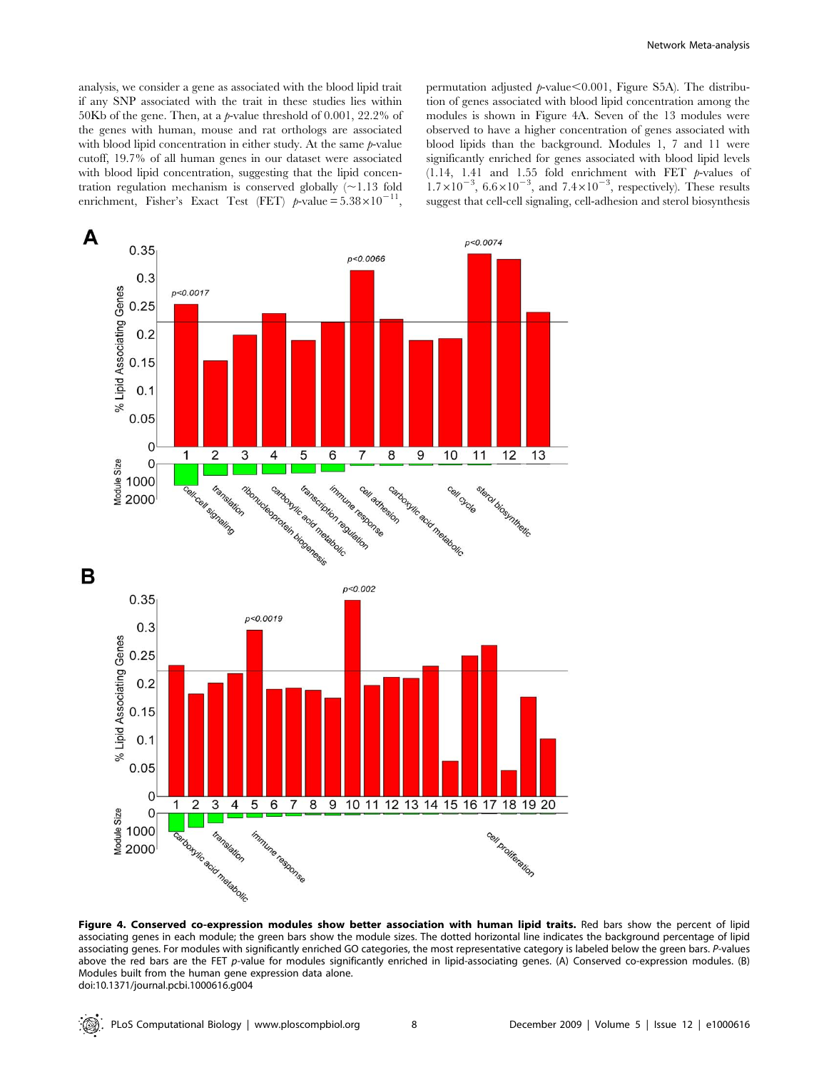analysis, we consider a gene as associated with the blood lipid trait if any SNP associated with the trait in these studies lies within 50Kb of the gene. Then, at a  $p$ -value threshold of 0.001, 22.2% of the genes with human, mouse and rat orthologs are associated with blood lipid concentration in either study. At the same  $p$ -value cutoff, 19.7% of all human genes in our dataset were associated with blood lipid concentration, suggesting that the lipid concentration regulation mechanism is conserved globally  $(\sim 1.13 \text{ fold})$ enrichment, Fisher's Exact Test (FET)  $p$ -value = 5.38 × 10<sup>-11</sup>,

permutation adjusted  $p$ -value $\leq 0.001$ , Figure S5A). The distribution of genes associated with blood lipid concentration among the modules is shown in Figure 4A. Seven of the 13 modules were observed to have a higher concentration of genes associated with blood lipids than the background. Modules 1, 7 and 11 were significantly enriched for genes associated with blood lipid levels (1.14, 1.41 and 1.55 fold enrichment with FET  $p$ -values of  $1.7 \times 10^{-3}$ ,  $6.6 \times 10^{-3}$ , and  $7.4 \times 10^{-3}$ , respectively). These results suggest that cell-cell signaling, cell-adhesion and sterol biosynthesis



Figure 4. Conserved co-expression modules show better association with human lipid traits. Red bars show the percent of lipid associating genes in each module; the green bars show the module sizes. The dotted horizontal line indicates the background percentage of lipid associating genes. For modules with significantly enriched GO categories, the most representative category is labeled below the green bars. P-values above the red bars are the FET p-value for modules significantly enriched in lipid-associating genes. (A) Conserved co-expression modules. (B) Modules built from the human gene expression data alone. doi:10.1371/journal.pcbi.1000616.g004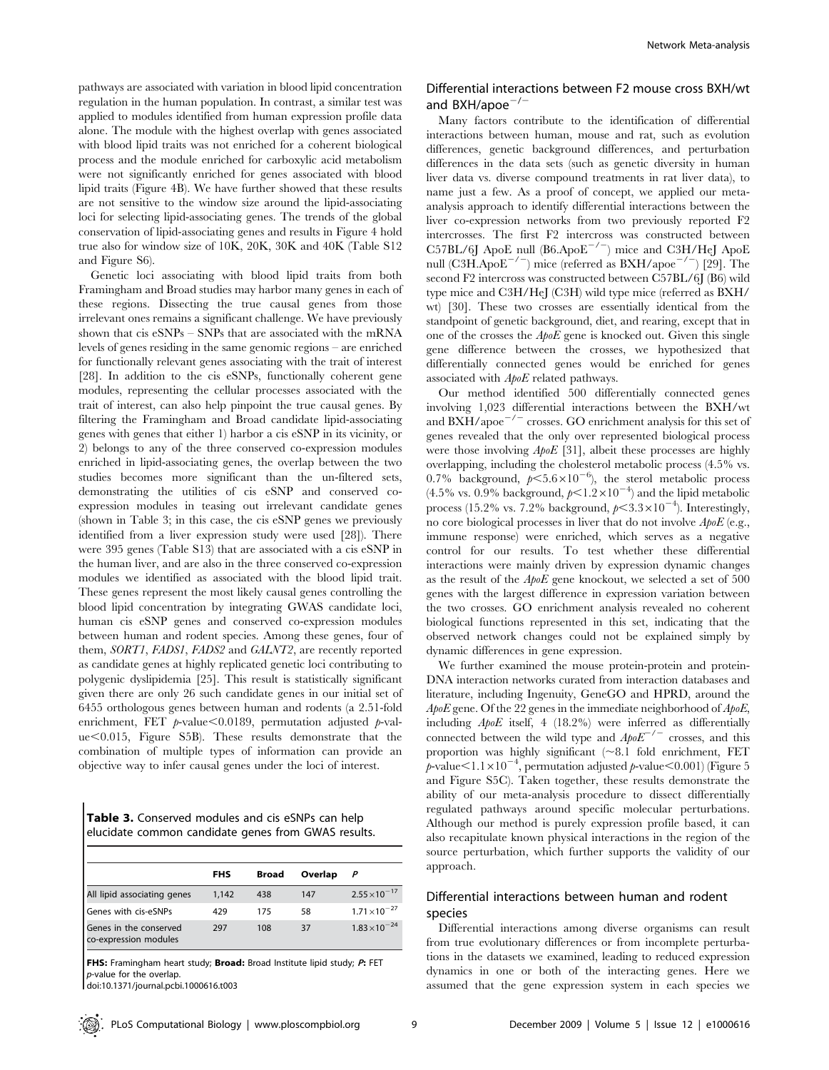pathways are associated with variation in blood lipid concentration regulation in the human population. In contrast, a similar test was applied to modules identified from human expression profile data alone. The module with the highest overlap with genes associated with blood lipid traits was not enriched for a coherent biological process and the module enriched for carboxylic acid metabolism were not significantly enriched for genes associated with blood lipid traits (Figure 4B). We have further showed that these results are not sensitive to the window size around the lipid-associating loci for selecting lipid-associating genes. The trends of the global conservation of lipid-associating genes and results in Figure 4 hold true also for window size of 10K, 20K, 30K and 40K (Table S12 and Figure S6).

Genetic loci associating with blood lipid traits from both Framingham and Broad studies may harbor many genes in each of these regions. Dissecting the true causal genes from those irrelevant ones remains a significant challenge. We have previously shown that cis eSNPs – SNPs that are associated with the mRNA levels of genes residing in the same genomic regions – are enriched for functionally relevant genes associating with the trait of interest [28]. In addition to the cis eSNPs, functionally coherent gene modules, representing the cellular processes associated with the trait of interest, can also help pinpoint the true causal genes. By filtering the Framingham and Broad candidate lipid-associating genes with genes that either 1) harbor a cis eSNP in its vicinity, or 2) belongs to any of the three conserved co-expression modules enriched in lipid-associating genes, the overlap between the two studies becomes more significant than the un-filtered sets, demonstrating the utilities of cis eSNP and conserved coexpression modules in teasing out irrelevant candidate genes (shown in Table 3; in this case, the cis eSNP genes we previously identified from a liver expression study were used [28]). There were 395 genes (Table S13) that are associated with a cis eSNP in the human liver, and are also in the three conserved co-expression modules we identified as associated with the blood lipid trait. These genes represent the most likely causal genes controlling the blood lipid concentration by integrating GWAS candidate loci, human cis eSNP genes and conserved co-expression modules between human and rodent species. Among these genes, four of them, SORT1, FADS1, FADS2 and GALNT2, are recently reported as candidate genes at highly replicated genetic loci contributing to polygenic dyslipidemia [25]. This result is statistically significant given there are only 26 such candidate genes in our initial set of 6455 orthologous genes between human and rodents (a 2.51-fold enrichment, FET  $p$ -value<0.0189, permutation adjusted  $p$ -val $ue<0.015$ , Figure S5B). These results demonstrate that the combination of multiple types of information can provide an objective way to infer causal genes under the loci of interest.

Table 3. Conserved modules and cis eSNPs can help elucidate common candidate genes from GWAS results.

|                                                 | <b>FHS</b> | <b>Broad</b> | Overlap | P                      |
|-------------------------------------------------|------------|--------------|---------|------------------------|
| All lipid associating genes                     | 1.142      | 438          | 147     | $2.55 \times 10^{-17}$ |
| <b>Genes with cis-eSNPs</b>                     | 429        | 175          | 58      | $1.71 \times 10^{-27}$ |
| Genes in the conserved<br>co-expression modules | 297        | 108          | 37      | $1.83 \times 10^{-24}$ |

FHS: Framingham heart study; Broad: Broad Institute lipid study; P: FET p-value for the overlap.

doi:10.1371/journal.pcbi.1000616.t003

## Differential interactions between F2 mouse cross BXH/wt and BXH/apoe $^{-/-}$

Many factors contribute to the identification of differential interactions between human, mouse and rat, such as evolution differences, genetic background differences, and perturbation differences in the data sets (such as genetic diversity in human liver data vs. diverse compound treatments in rat liver data), to name just a few. As a proof of concept, we applied our metaanalysis approach to identify differential interactions between the liver co-expression networks from two previously reported F2 intercrosses. The first F2 intercross was constructed between  $C57BL/6J$  ApoE null  $(B6 ApoE^{-/-})$  mice and  $C3H/HeJ$  ApoE null  $(C3H. ApoE^{-/-})$  mice (referred as  $BXH/apoe^{-/-}$ ) [29]. The second F2 intercross was constructed between C57BL/6J (B6) wild type mice and C3H/HeJ (C3H) wild type mice (referred as BXH/ wt) [30]. These two crosses are essentially identical from the standpoint of genetic background, diet, and rearing, except that in one of the crosses the  $ApoE$  gene is knocked out. Given this single gene difference between the crosses, we hypothesized that differentially connected genes would be enriched for genes associated with ApoE related pathways.

Our method identified 500 differentially connected genes involving 1,023 differential interactions between the BXH/wt and  $B X H / a p o e^{-/-}$  crosses. GO enrichment analysis for this set of genes revealed that the only over represented biological process were those involving ApoE [31], albeit these processes are highly overlapping, including the cholesterol metabolic process (4.5% vs. 0.7% background,  $p \le 5.6 \times 10^{-6}$ ), the sterol metabolic process (4.5% vs. 0.9% background,  $p<1.2\times10^{-4}$ ) and the lipid metabolic process (15.2% vs. 7.2% background,  $p<3.3\times10^{-4}$ ). Interestingly, no core biological processes in liver that do not involve ApoE (e.g., immune response) were enriched, which serves as a negative control for our results. To test whether these differential interactions were mainly driven by expression dynamic changes as the result of the ApoE gene knockout, we selected a set of 500 genes with the largest difference in expression variation between the two crosses. GO enrichment analysis revealed no coherent biological functions represented in this set, indicating that the observed network changes could not be explained simply by dynamic differences in gene expression.

We further examined the mouse protein-protein and protein-DNA interaction networks curated from interaction databases and literature, including Ingenuity, GeneGO and HPRD, around the ApoE gene. Of the 22 genes in the immediate neighborhood of ApoE, including ApoE itself, 4 (18.2%) were inferred as differentially connected between the wild type and  $ApoE^{-/-}$  crosses, and this proportion was highly significant  $(\sim 8.1$  fold enrichment, FET p-value $< 1.1 \times 10^{-4}$ , permutation adjusted p-value $< 0.001$ ) (Figure 5 and Figure S5C). Taken together, these results demonstrate the ability of our meta-analysis procedure to dissect differentially regulated pathways around specific molecular perturbations. Although our method is purely expression profile based, it can also recapitulate known physical interactions in the region of the source perturbation, which further supports the validity of our approach.

## Differential interactions between human and rodent species

Differential interactions among diverse organisms can result from true evolutionary differences or from incomplete perturbations in the datasets we examined, leading to reduced expression dynamics in one or both of the interacting genes. Here we assumed that the gene expression system in each species we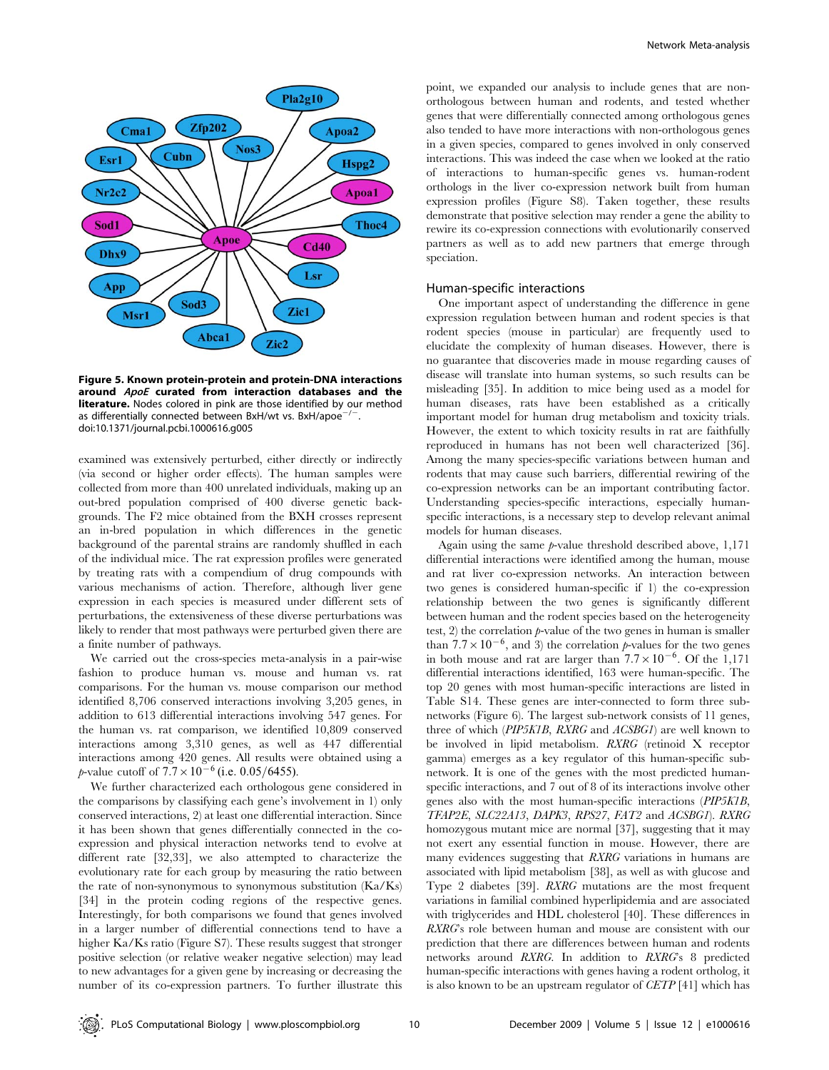

Figure 5. Known protein-protein and protein-DNA interactions around ApoE curated from interaction databases and the literature. Nodes colored in pink are those identified by our method as differentially connected between BxH/wt vs. BxH/apoe<sup>-</sup> . doi:10.1371/journal.pcbi.1000616.g005

examined was extensively perturbed, either directly or indirectly (via second or higher order effects). The human samples were collected from more than 400 unrelated individuals, making up an out-bred population comprised of 400 diverse genetic backgrounds. The F2 mice obtained from the BXH crosses represent an in-bred population in which differences in the genetic background of the parental strains are randomly shuffled in each of the individual mice. The rat expression profiles were generated by treating rats with a compendium of drug compounds with various mechanisms of action. Therefore, although liver gene expression in each species is measured under different sets of perturbations, the extensiveness of these diverse perturbations was likely to render that most pathways were perturbed given there are a finite number of pathways.

We carried out the cross-species meta-analysis in a pair-wise fashion to produce human vs. mouse and human vs. rat comparisons. For the human vs. mouse comparison our method identified 8,706 conserved interactions involving 3,205 genes, in addition to 613 differential interactions involving 547 genes. For the human vs. rat comparison, we identified 10,809 conserved interactions among 3,310 genes, as well as 447 differential interactions among 420 genes. All results were obtained using a p-value cutoff of  $7.7 \times 10^{-6}$  (i.e. 0.05/6455).

We further characterized each orthologous gene considered in the comparisons by classifying each gene's involvement in 1) only conserved interactions, 2) at least one differential interaction. Since it has been shown that genes differentially connected in the coexpression and physical interaction networks tend to evolve at different rate [32,33], we also attempted to characterize the evolutionary rate for each group by measuring the ratio between the rate of non-synonymous to synonymous substitution (Ka/Ks) [34] in the protein coding regions of the respective genes. Interestingly, for both comparisons we found that genes involved in a larger number of differential connections tend to have a higher Ka/Ks ratio (Figure S7). These results suggest that stronger positive selection (or relative weaker negative selection) may lead to new advantages for a given gene by increasing or decreasing the number of its co-expression partners. To further illustrate this

point, we expanded our analysis to include genes that are nonorthologous between human and rodents, and tested whether genes that were differentially connected among orthologous genes also tended to have more interactions with non-orthologous genes in a given species, compared to genes involved in only conserved interactions. This was indeed the case when we looked at the ratio of interactions to human-specific genes vs. human-rodent orthologs in the liver co-expression network built from human expression profiles (Figure S8). Taken together, these results demonstrate that positive selection may render a gene the ability to rewire its co-expression connections with evolutionarily conserved partners as well as to add new partners that emerge through speciation.

#### Human-specific interactions

One important aspect of understanding the difference in gene expression regulation between human and rodent species is that rodent species (mouse in particular) are frequently used to elucidate the complexity of human diseases. However, there is no guarantee that discoveries made in mouse regarding causes of disease will translate into human systems, so such results can be misleading [35]. In addition to mice being used as a model for human diseases, rats have been established as a critically important model for human drug metabolism and toxicity trials. However, the extent to which toxicity results in rat are faithfully reproduced in humans has not been well characterized [36]. Among the many species-specific variations between human and rodents that may cause such barriers, differential rewiring of the co-expression networks can be an important contributing factor. Understanding species-specific interactions, especially humanspecific interactions, is a necessary step to develop relevant animal models for human diseases.

Again using the same p-value threshold described above, 1,171 differential interactions were identified among the human, mouse and rat liver co-expression networks. An interaction between two genes is considered human-specific if 1) the co-expression relationship between the two genes is significantly different between human and the rodent species based on the heterogeneity test, 2) the correlation  $p$ -value of the two genes in human is smaller than  $7.7 \times 10^{-6}$ , and 3) the correlation p-values for the two genes in both mouse and rat are larger than  $7.7 \times 10^{-6}$ . Of the 1,171 differential interactions identified, 163 were human-specific. The top 20 genes with most human-specific interactions are listed in Table S14. These genes are inter-connected to form three subnetworks (Figure 6). The largest sub-network consists of 11 genes, three of which (PIP5K1B, RXRG and ACSBG1) are well known to be involved in lipid metabolism. RXRG (retinoid X receptor gamma) emerges as a key regulator of this human-specific subnetwork. It is one of the genes with the most predicted humanspecific interactions, and 7 out of 8 of its interactions involve other genes also with the most human-specific interactions (PIP5K1B, TFAP2E, SLC22A13, DAPK3, RPS27, FAT2 and ACSBG1). RXRG homozygous mutant mice are normal [37], suggesting that it may not exert any essential function in mouse. However, there are many evidences suggesting that RXRG variations in humans are associated with lipid metabolism [38], as well as with glucose and Type 2 diabetes [39]. RXRG mutations are the most frequent variations in familial combined hyperlipidemia and are associated with triglycerides and HDL cholesterol [40]. These differences in RXRG's role between human and mouse are consistent with our prediction that there are differences between human and rodents networks around RXRG. In addition to RXRG's 8 predicted human-specific interactions with genes having a rodent ortholog, it is also known to be an upstream regulator of CETP [41] which has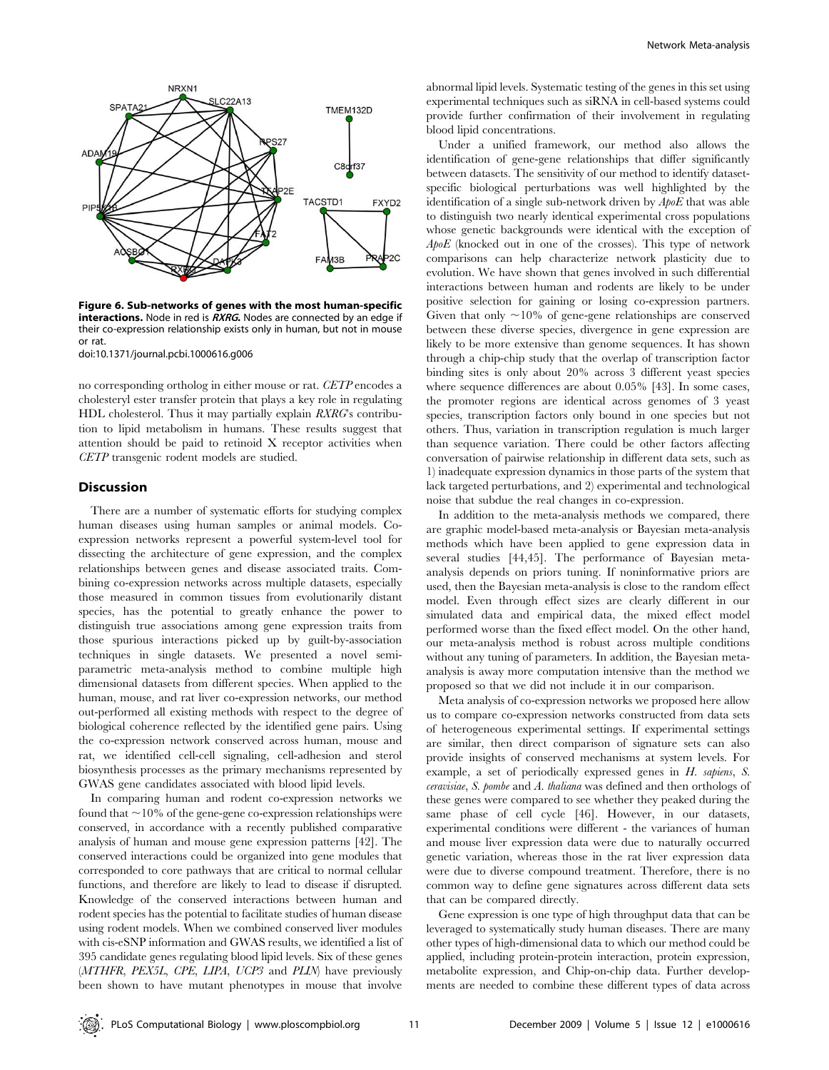

Figure 6. Sub-networks of genes with the most human-specific interactions. Node in red is RXRG. Nodes are connected by an edge if their co-expression relationship exists only in human, but not in mouse or rat.

doi:10.1371/journal.pcbi.1000616.g006

no corresponding ortholog in either mouse or rat. CETP encodes a cholesteryl ester transfer protein that plays a key role in regulating HDL cholesterol. Thus it may partially explain RXRG's contribution to lipid metabolism in humans. These results suggest that attention should be paid to retinoid X receptor activities when CETP transgenic rodent models are studied.

#### Discussion

There are a number of systematic efforts for studying complex human diseases using human samples or animal models. Coexpression networks represent a powerful system-level tool for dissecting the architecture of gene expression, and the complex relationships between genes and disease associated traits. Combining co-expression networks across multiple datasets, especially those measured in common tissues from evolutionarily distant species, has the potential to greatly enhance the power to distinguish true associations among gene expression traits from those spurious interactions picked up by guilt-by-association techniques in single datasets. We presented a novel semiparametric meta-analysis method to combine multiple high dimensional datasets from different species. When applied to the human, mouse, and rat liver co-expression networks, our method out-performed all existing methods with respect to the degree of biological coherence reflected by the identified gene pairs. Using the co-expression network conserved across human, mouse and rat, we identified cell-cell signaling, cell-adhesion and sterol biosynthesis processes as the primary mechanisms represented by GWAS gene candidates associated with blood lipid levels.

In comparing human and rodent co-expression networks we found that  $\sim$ 10% of the gene-gene co-expression relationships were conserved, in accordance with a recently published comparative analysis of human and mouse gene expression patterns [42]. The conserved interactions could be organized into gene modules that corresponded to core pathways that are critical to normal cellular functions, and therefore are likely to lead to disease if disrupted. Knowledge of the conserved interactions between human and rodent species has the potential to facilitate studies of human disease using rodent models. When we combined conserved liver modules with cis-eSNP information and GWAS results, we identified a list of 395 candidate genes regulating blood lipid levels. Six of these genes (MTHFR, PEX5L, CPE, LIPA, UCP3 and PLIN) have previously been shown to have mutant phenotypes in mouse that involve

abnormal lipid levels. Systematic testing of the genes in this set using experimental techniques such as siRNA in cell-based systems could provide further confirmation of their involvement in regulating blood lipid concentrations.

Under a unified framework, our method also allows the identification of gene-gene relationships that differ significantly between datasets. The sensitivity of our method to identify datasetspecific biological perturbations was well highlighted by the identification of a single sub-network driven by ApoE that was able to distinguish two nearly identical experimental cross populations whose genetic backgrounds were identical with the exception of  $ApoE$  (knocked out in one of the crosses). This type of network comparisons can help characterize network plasticity due to evolution. We have shown that genes involved in such differential interactions between human and rodents are likely to be under positive selection for gaining or losing co-expression partners. Given that only  $\sim$ 10% of gene-gene relationships are conserved between these diverse species, divergence in gene expression are likely to be more extensive than genome sequences. It has shown through a chip-chip study that the overlap of transcription factor binding sites is only about 20% across 3 different yeast species where sequence differences are about 0.05% [43]. In some cases, the promoter regions are identical across genomes of 3 yeast species, transcription factors only bound in one species but not others. Thus, variation in transcription regulation is much larger than sequence variation. There could be other factors affecting conversation of pairwise relationship in different data sets, such as 1) inadequate expression dynamics in those parts of the system that lack targeted perturbations, and 2) experimental and technological noise that subdue the real changes in co-expression.

In addition to the meta-analysis methods we compared, there are graphic model-based meta-analysis or Bayesian meta-analysis methods which have been applied to gene expression data in several studies [44,45]. The performance of Bayesian metaanalysis depends on priors tuning. If noninformative priors are used, then the Bayesian meta-analysis is close to the random effect model. Even through effect sizes are clearly different in our simulated data and empirical data, the mixed effect model performed worse than the fixed effect model. On the other hand, our meta-analysis method is robust across multiple conditions without any tuning of parameters. In addition, the Bayesian metaanalysis is away more computation intensive than the method we proposed so that we did not include it in our comparison.

Meta analysis of co-expression networks we proposed here allow us to compare co-expression networks constructed from data sets of heterogeneous experimental settings. If experimental settings are similar, then direct comparison of signature sets can also provide insights of conserved mechanisms at system levels. For example, a set of periodically expressed genes in H. sapiens, S. ceravisiae, S. pombe and A. thaliana was defined and then orthologs of these genes were compared to see whether they peaked during the same phase of cell cycle [46]. However, in our datasets, experimental conditions were different - the variances of human and mouse liver expression data were due to naturally occurred genetic variation, whereas those in the rat liver expression data were due to diverse compound treatment. Therefore, there is no common way to define gene signatures across different data sets that can be compared directly.

Gene expression is one type of high throughput data that can be leveraged to systematically study human diseases. There are many other types of high-dimensional data to which our method could be applied, including protein-protein interaction, protein expression, metabolite expression, and Chip-on-chip data. Further developments are needed to combine these different types of data across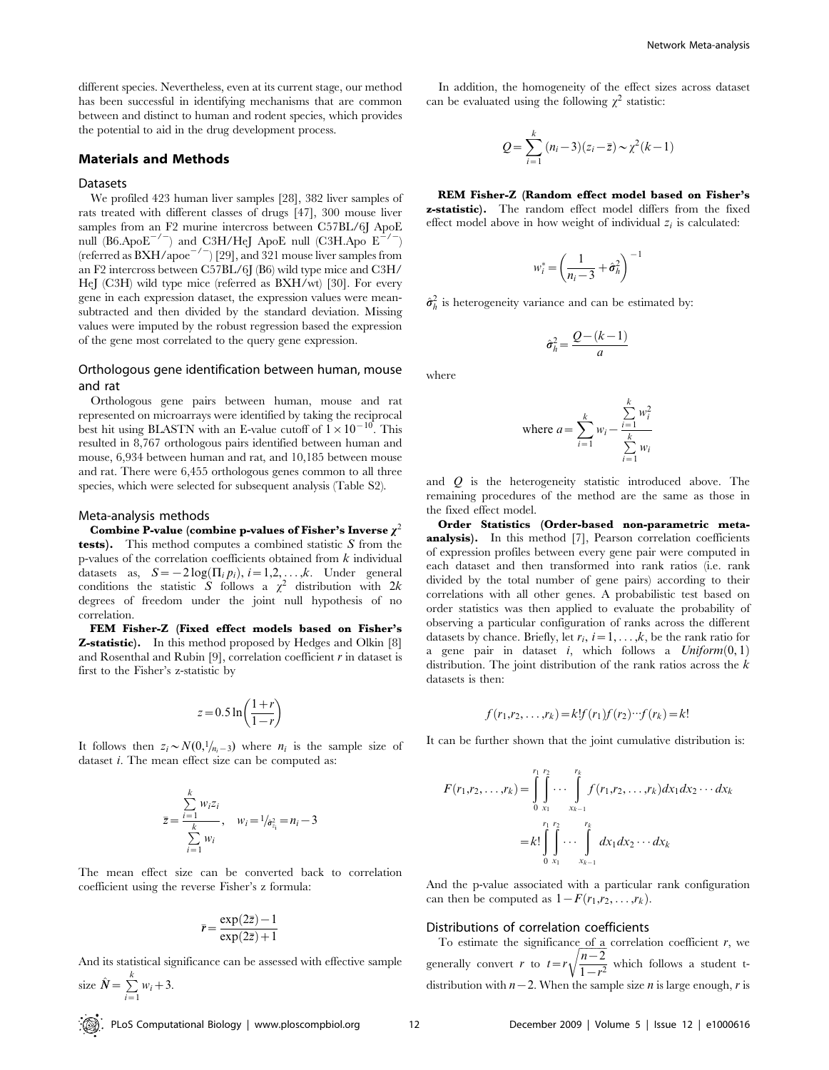different species. Nevertheless, even at its current stage, our method has been successful in identifying mechanisms that are common between and distinct to human and rodent species, which provides the potential to aid in the drug development process.

## Materials and Methods

#### Datasets

We profiled 423 human liver samples [28], 382 liver samples of rats treated with different classes of drugs [47], 300 mouse liver samples from an F2 murine intercross between C57BL/6J ApoE null  $(B6. \text{ApoE}^{-/-})$  and C3H/HeJ ApoE null (C3H.Apo  $E^{-/-}$ ) null (B6.ApoE<sup>-/-</sup>) and C3H/HeJ ApoE null (C3H.Apo E<sup>-/-</sup>)<br>(referred as BXH/apoe<sup>-/-</sup>) [29], and 321 mouse liver samples from an F2 intercross between C57BL/6J (B6) wild type mice and C3H/ HeJ (C3H) wild type mice (referred as BXH/wt) [30]. For every gene in each expression dataset, the expression values were meansubtracted and then divided by the standard deviation. Missing values were imputed by the robust regression based the expression of the gene most correlated to the query gene expression.

## Orthologous gene identification between human, mouse and rat

Orthologous gene pairs between human, mouse and rat represented on microarrays were identified by taking the reciprocal best hit using BLASTN with an E-value cutoff of  $1 \times 10^{-10}$ . This resulted in 8,767 orthologous pairs identified between human and mouse, 6,934 between human and rat, and 10,185 between mouse and rat. There were 6,455 orthologous genes common to all three species, which were selected for subsequent analysis (Table S2).

#### Meta-analysis methods

Combine P-value (combine p-values of Fisher's Inverse  $\chi^2$ tests). This method computes a combined statistic S from the p-values of the correlation coefficients obtained from  $k$  individual datasets as,  $S = -2 \log(\Pi_i p_i)$ ,  $i = 1, 2, ..., k$ . Under general conditions the statistic S follows a  $\chi^2$  distribution with 2k degrees of freedom under the joint null hypothesis of no correlation.

FEM Fisher-Z (Fixed effect models based on Fisher's **Z-statistic).** In this method proposed by Hedges and Olkin [8] and Rosenthal and Rubin [9], correlation coefficient  $r$  in dataset is first to the Fisher's z-statistic by

$$
z = 0.5 \ln\left(\frac{1+r}{1-r}\right)
$$

It follows then  $z_i \sim N(0,1/n_i-3)$  where  $n_i$  is the sample size of dataset  $i$ . The mean effect size can be computed as:

$$
\bar{z} = \frac{\sum_{i=1}^{k} w_i z_i}{\sum_{i=1}^{k} w_i}, \quad w_i = 1/\hat{\sigma}_{z_i}^2 = n_i - 3
$$

The mean effect size can be converted back to correlation coefficient using the reverse Fisher's z formula:

$$
\bar{r} = \frac{\exp(2\bar{z}) - 1}{\exp(2\bar{z}) + 1}
$$

And its statistical significance can be assessed with effective sample size  $\hat{N} = \sum_{k=1}^{k}$  $\sum_{i=1} w_i + 3.$ 

In addition, the homogeneity of the effect sizes across dataset can be evaluated using the following  $\chi^2$  statistic:

$$
Q = \sum_{i=1}^{k} (n_i - 3)(z_i - \bar{z}) \sim \chi^2(k - 1)
$$

REM Fisher-Z (Random effect model based on Fisher's **z-statistic).** The random effect model differs from the fixed effect model above in how weight of individual  $z_i$  is calculated:

$$
w_i^* = \left(\frac{1}{n_i - 3} + \hat{\sigma}_h^2\right)^{-1}
$$

 $\hat{\sigma}_h^2$  is heterogeneity variance and can be estimated by:

where

$$
\hat{\sigma}_h^2 = \frac{Q - (k-1)}{a}
$$

where 
$$
a = \sum_{i=1}^{k} w_i - \frac{\sum_{i=1}^{k}}{\sum_{i=1}^{k}}
$$

w 2 i

 $i=1$  $W_i$ 

and Q is the heterogeneity statistic introduced above. The remaining procedures of the method are the same as those in the fixed effect model.

Order Statistics (Order-based non-parametric metaanalysis). In this method [7], Pearson correlation coefficients of expression profiles between every gene pair were computed in each dataset and then transformed into rank ratios (i.e. rank divided by the total number of gene pairs) according to their correlations with all other genes. A probabilistic test based on order statistics was then applied to evaluate the probability of observing a particular configuration of ranks across the different datasets by chance. Briefly, let  $r_i$ ,  $i = 1, \ldots, k$ , be the rank ratio for a gene pair in dataset i, which follows a  $Uniform(0, 1)$ distribution. The joint distribution of the rank ratios across the  $k$ datasets is then:

$$
f(r_1,r_2,\ldots,r_k) = k!f(r_1)f(r_2)\cdots f(r_k) = k!
$$

It can be further shown that the joint cumulative distribution is:

$$
F(r_1, r_2, \dots, r_k) = \int_{0}^{r_1} \int_{x_1}^{r_2} \dots \int_{x_{k-1}}^{r_k} f(r_1, r_2, \dots, r_k) dx_1 dx_2 \dots dx_k
$$
  
=  $k! \int_{0}^{r_1} \int_{x_1}^{r_2} \dots \int_{x_{k-1}}^{r_k} dx_1 dx_2 \dots dx_k$ 

And the p-value associated with a particular rank configuration can then be computed as  $1-F(r_1,r_2,\ldots,r_k)$ .

#### Distributions of correlation coefficients

To estimate the significance of  $a$  correlation coefficient  $r$ , we generally convert *r* to  $t = r\sqrt{\frac{n-2}{1-r^2}}$  $1 - r^2$  $\sqrt{\frac{n-2}{n-2}}$  which follows a student tdistribution with  $n-2$ . When the sample size *n* is large enough, *r* is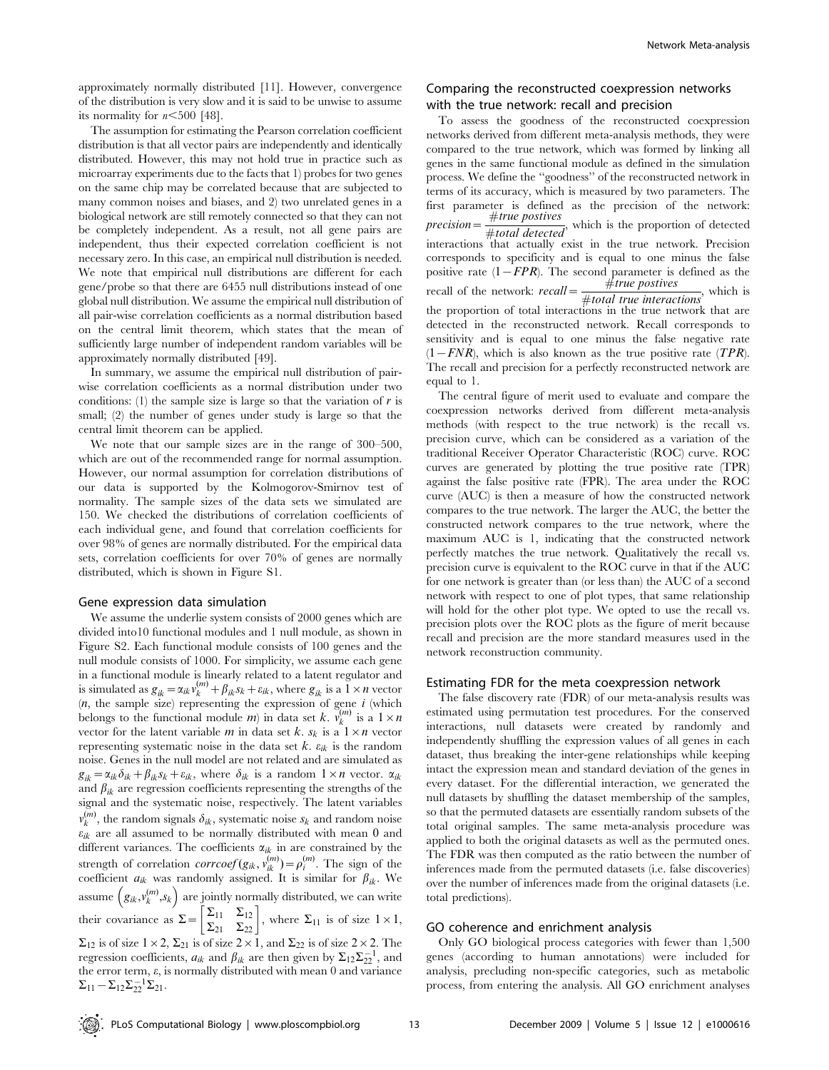approximately normally distributed [11]. However, convergence of the distribution is very slow and it is said to be unwise to assume its normality for  $n<500$  [48].

The assumption for estimating the Pearson correlation coefficient distribution is that all vector pairs are independently and identically distributed. However, this may not hold true in practice such as microarray experiments due to the facts that 1) probes for two genes on the same chip may be correlated because that are subjected to many common noises and biases, and 2) two unrelated genes in a biological network are still remotely connected so that they can not be completely independent. As a result, not all gene pairs are independent, thus their expected correlation coefficient is not necessary zero. In this case, an empirical null distribution is needed. We note that empirical null distributions are different for each gene/probe so that there are 6455 null distributions instead of one global null distribution. We assume the empirical null distribution of all pair-wise correlation coefficients as a normal distribution based on the central limit theorem, which states that the mean of sufficiently large number of independent random variables will be approximately normally distributed [49].

In summary, we assume the empirical null distribution of pairwise correlation coefficients as a normal distribution under two conditions: (1) the sample size is large so that the variation of  $r$  is small; (2) the number of genes under study is large so that the central limit theorem can be applied.

We note that our sample sizes are in the range of 300–500, which are out of the recommended range for normal assumption. However, our normal assumption for correlation distributions of our data is supported by the Kolmogorov-Smirnov test of normality. The sample sizes of the data sets we simulated are 150. We checked the distributions of correlation coefficients of each individual gene, and found that correlation coefficients for over 98% of genes are normally distributed. For the empirical data sets, correlation coefficients for over 70% of genes are normally distributed, which is shown in Figure S1.

#### Gene expression data simulation

We assume the underlie system consists of 2000 genes which are divided into10 functional modules and 1 null module, as shown in Figure S2. Each functional module consists of 100 genes and the null module consists of 1000. For simplicity, we assume each gene in a functional module is linearly related to a latent regulator and is simulated as  $g_{ik} = \alpha_{ik} v_k^{(m)} + \beta_{ik} s_k + \varepsilon_{ik}$ , where  $g_{ik}$  is a  $1 \times n$  vector  $(n,$  the sample size) representing the expression of gene  $i$  (which belongs to the functional module *m*) in data set *k*.  $v_k^{(m)}$  is a  $1 \times n$ vector for the latent variable m in data set k.  $s_k$  is a  $1 \times n$  vector representing systematic noise in the data set  $k$ .  $\varepsilon_{ik}$  is the random noise. Genes in the null model are not related and are simulated as  $g_{ik} = \alpha_{ik}\delta_{ik} + \beta_{ik}s_k + \varepsilon_{ik}$ , where  $\delta_{ik}$  is a random  $1 \times n$  vector.  $\alpha_{ik}$ and  $\beta_{ik}$  are regression coefficients representing the strengths of the signal and the systematic noise, respectively. The latent variables  $v_k^{(m)}$ , the random signals  $\delta_{ik}$ , systematic noise  $s_k$  and random noise  $\varepsilon_{ik}$  are all assumed to be normally distributed with mean 0 and different variances. The coefficients  $\alpha_{ik}$  in are constrained by the strength of correlation *corrcoef*  $(g_{ik}, v_{ik}^{(m)}) = \rho_i^{(m)}$ . The sign of the coefficient  $a_{ik}$  was randomly assigned. It is similar for  $\beta_{ik}$ . We assume  $\left(g_{ik}, v^{(m)}_k, s_k\right)$  are jointly normally distributed, we can write their covariance as  $\Sigma = \begin{bmatrix} \Sigma_{11} & \Sigma_{12} \\ \Sigma_{21} & \Sigma_{22} \end{bmatrix}$ , where  $\Sigma_{11}$  is of size  $1 \times 1$ ,  $\Sigma_{12}$  is of size  $1\times 2$ ,  $\Sigma_{21}$  is of size  $2\times 1$ , and  $\Sigma_{22}$  is of size  $2\times 2$ . The regression coefficients,  $a_{ik}$  and  $\beta_{ik}$  are then given by  $\Sigma_{12}\Sigma_{22}^{-1}$ , and the error term,  $\varepsilon$ , is normally distributed with mean  $0$  and variance  $\Sigma_{11} - \Sigma_{12} \Sigma_{22}^{-1} \Sigma_{21}$ .

## Comparing the reconstructed coexpression networks with the true network: recall and precision

To assess the goodness of the reconstructed coexpression networks derived from different meta-analysis methods, they were compared to the true network, which was formed by linking all genes in the same functional module as defined in the simulation process. We define the ''goodness'' of the reconstructed network in terms of its accuracy, which is measured by two parameters. The first parameter is defined as the precision of the network:  $precision = \frac{\# true}{\# true}$  $\frac{n \cdot \cdots \cdot p \cdot \text{vertex}}{\#1 \cdot \text{total detected}}$ , which is the proportion of detected interactions that actually exist in the true network. Precision corresponds to specificity and is equal to one minus the false positive rate  $(1 - FPR)$ . The second parameter is defined as the #true positives recall of the network:  $recall = \frac{\pi H}{\# total \ true \ interactions}$ , which is the proportion of total interactions in the true network that are detected in the reconstructed network. Recall corresponds to sensitivity and is equal to one minus the false negative rate  $(1-FNR)$ , which is also known as the true positive rate (TPR). The recall and precision for a perfectly reconstructed network are equal to 1.

The central figure of merit used to evaluate and compare the coexpression networks derived from different meta-analysis methods (with respect to the true network) is the recall vs. precision curve, which can be considered as a variation of the traditional Receiver Operator Characteristic (ROC) curve. ROC curves are generated by plotting the true positive rate (TPR) against the false positive rate (FPR). The area under the ROC curve (AUC) is then a measure of how the constructed network compares to the true network. The larger the AUC, the better the constructed network compares to the true network, where the maximum AUC is 1, indicating that the constructed network perfectly matches the true network. Qualitatively the recall vs. precision curve is equivalent to the ROC curve in that if the AUC for one network is greater than (or less than) the AUC of a second network with respect to one of plot types, that same relationship will hold for the other plot type. We opted to use the recall vs. precision plots over the ROC plots as the figure of merit because recall and precision are the more standard measures used in the network reconstruction community.

#### Estimating FDR for the meta coexpression network

The false discovery rate (FDR) of our meta-analysis results was estimated using permutation test procedures. For the conserved interactions, null datasets were created by randomly and independently shuffling the expression values of all genes in each dataset, thus breaking the inter-gene relationships while keeping intact the expression mean and standard deviation of the genes in every dataset. For the differential interaction, we generated the null datasets by shuffling the dataset membership of the samples, so that the permuted datasets are essentially random subsets of the total original samples. The same meta-analysis procedure was applied to both the original datasets as well as the permuted ones. The FDR was then computed as the ratio between the number of inferences made from the permuted datasets (i.e. false discoveries) over the number of inferences made from the original datasets (i.e. total predictions).

## GO coherence and enrichment analysis

Only GO biological process categories with fewer than 1,500 genes (according to human annotations) were included for analysis, precluding non-specific categories, such as metabolic process, from entering the analysis. All GO enrichment analyses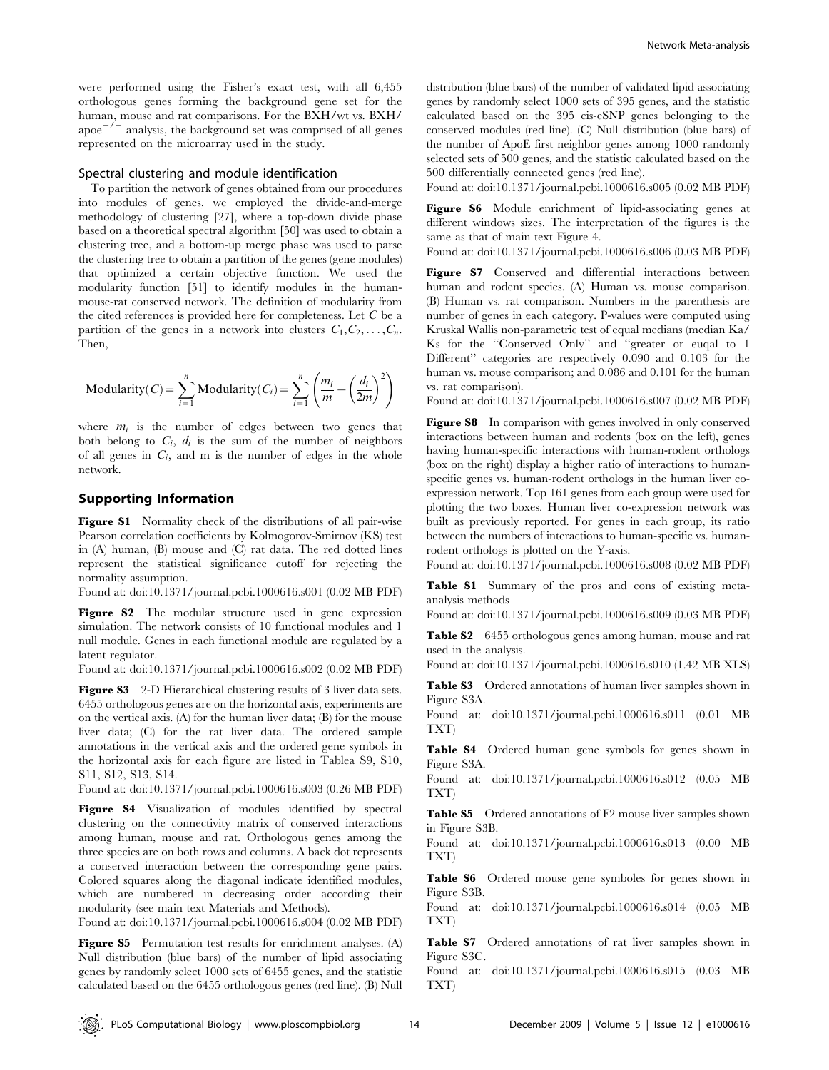were performed using the Fisher's exact test, with all 6,455 orthologous genes forming the background gene set for the human, mouse and rat comparisons. For the BXH/wt vs. BXH/  $\frac{2}{\pi}$  analysis, the background set was comprised of all genes represented on the microarray used in the study.

#### Spectral clustering and module identification

To partition the network of genes obtained from our procedures into modules of genes, we employed the divide-and-merge methodology of clustering [27], where a top-down divide phase based on a theoretical spectral algorithm [50] was used to obtain a clustering tree, and a bottom-up merge phase was used to parse the clustering tree to obtain a partition of the genes (gene modules) that optimized a certain objective function. We used the modularity function [51] to identify modules in the humanmouse-rat conserved network. The definition of modularity from the cited references is provided here for completeness. Let C be a partition of the genes in a network into clusters  $C_1, C_2, \ldots, C_n$ . Then,

Modularity(C) = 
$$
\sum_{i=1}^{n} \text{Modularity}(C_i) = \sum_{i=1}^{n} \left( \frac{m_i}{m} - \left( \frac{d_i}{2m} \right)^2 \right)
$$

where  $m_i$  is the number of edges between two genes that both belong to  $C_i$ ,  $d_i$  is the sum of the number of neighbors of all genes in  $C_i$ , and m is the number of edges in the whole network.

#### Supporting Information

Figure S1 Normality check of the distributions of all pair-wise Pearson correlation coefficients by Kolmogorov-Smirnov (KS) test in (A) human, (B) mouse and (C) rat data. The red dotted lines represent the statistical significance cutoff for rejecting the normality assumption.

Found at: doi:10.1371/journal.pcbi.1000616.s001 (0.02 MB PDF)

Figure S2 The modular structure used in gene expression simulation. The network consists of 10 functional modules and 1 null module. Genes in each functional module are regulated by a latent regulator.

Found at: doi:10.1371/journal.pcbi.1000616.s002 (0.02 MB PDF)

Figure S3 2-D Hierarchical clustering results of 3 liver data sets. 6455 orthologous genes are on the horizontal axis, experiments are on the vertical axis. (A) for the human liver data; (B) for the mouse liver data; (C) for the rat liver data. The ordered sample annotations in the vertical axis and the ordered gene symbols in the horizontal axis for each figure are listed in Tablea S9, S10, S11, S12, S13, S14.

Found at: doi:10.1371/journal.pcbi.1000616.s003 (0.26 MB PDF)

Figure S4 Visualization of modules identified by spectral clustering on the connectivity matrix of conserved interactions among human, mouse and rat. Orthologous genes among the three species are on both rows and columns. A back dot represents a conserved interaction between the corresponding gene pairs. Colored squares along the diagonal indicate identified modules, which are numbered in decreasing order according their modularity (see main text Materials and Methods).

Found at: doi:10.1371/journal.pcbi.1000616.s004 (0.02 MB PDF)

Figure S5 Permutation test results for enrichment analyses. (A) Null distribution (blue bars) of the number of lipid associating genes by randomly select 1000 sets of 6455 genes, and the statistic calculated based on the 6455 orthologous genes (red line). (B) Null

distribution (blue bars) of the number of validated lipid associating genes by randomly select 1000 sets of 395 genes, and the statistic calculated based on the 395 cis-eSNP genes belonging to the conserved modules (red line). (C) Null distribution (blue bars) of the number of ApoE first neighbor genes among 1000 randomly selected sets of 500 genes, and the statistic calculated based on the 500 differentially connected genes (red line).

Found at: doi:10.1371/journal.pcbi.1000616.s005 (0.02 MB PDF)

Figure S6 Module enrichment of lipid-associating genes at different windows sizes. The interpretation of the figures is the same as that of main text Figure 4.

Found at: doi:10.1371/journal.pcbi.1000616.s006 (0.03 MB PDF)

Figure S7 Conserved and differential interactions between human and rodent species. (A) Human vs. mouse comparison. (B) Human vs. rat comparison. Numbers in the parenthesis are number of genes in each category. P-values were computed using Kruskal Wallis non-parametric test of equal medians (median Ka/ Ks for the ''Conserved Only'' and ''greater or euqal to 1 Different'' categories are respectively 0.090 and 0.103 for the human vs. mouse comparison; and 0.086 and 0.101 for the human vs. rat comparison).

Found at: doi:10.1371/journal.pcbi.1000616.s007 (0.02 MB PDF)

Figure S8 In comparison with genes involved in only conserved interactions between human and rodents (box on the left), genes having human-specific interactions with human-rodent orthologs (box on the right) display a higher ratio of interactions to humanspecific genes vs. human-rodent orthologs in the human liver coexpression network. Top 161 genes from each group were used for plotting the two boxes. Human liver co-expression network was built as previously reported. For genes in each group, its ratio between the numbers of interactions to human-specific vs. humanrodent orthologs is plotted on the Y-axis.

Found at: doi:10.1371/journal.pcbi.1000616.s008 (0.02 MB PDF)

Table S1 Summary of the pros and cons of existing metaanalysis methods

Found at: doi:10.1371/journal.pcbi.1000616.s009 (0.03 MB PDF)

Table S2 6455 orthologous genes among human, mouse and rat used in the analysis.

Found at: doi:10.1371/journal.pcbi.1000616.s010 (1.42 MB XLS)

Table S3 Ordered annotations of human liver samples shown in Figure S3A.

Found at: doi:10.1371/journal.pcbi.1000616.s011 (0.01 MB TXT)

Table S4 Ordered human gene symbols for genes shown in Figure S3A.

Found at: doi:10.1371/journal.pcbi.1000616.s012 (0.05 MB TXT)

Table S5 Ordered annotations of F2 mouse liver samples shown in Figure S3B.

Found at: doi:10.1371/journal.pcbi.1000616.s013 (0.00 MB TXT)

Table S6 Ordered mouse gene symboles for genes shown in Figure S3B.

Found at: doi:10.1371/journal.pcbi.1000616.s014 (0.05 MB TXT)

Table S7 Ordered annotations of rat liver samples shown in Figure S3C.

Found at: doi:10.1371/journal.pcbi.1000616.s015 (0.03 MB TXT)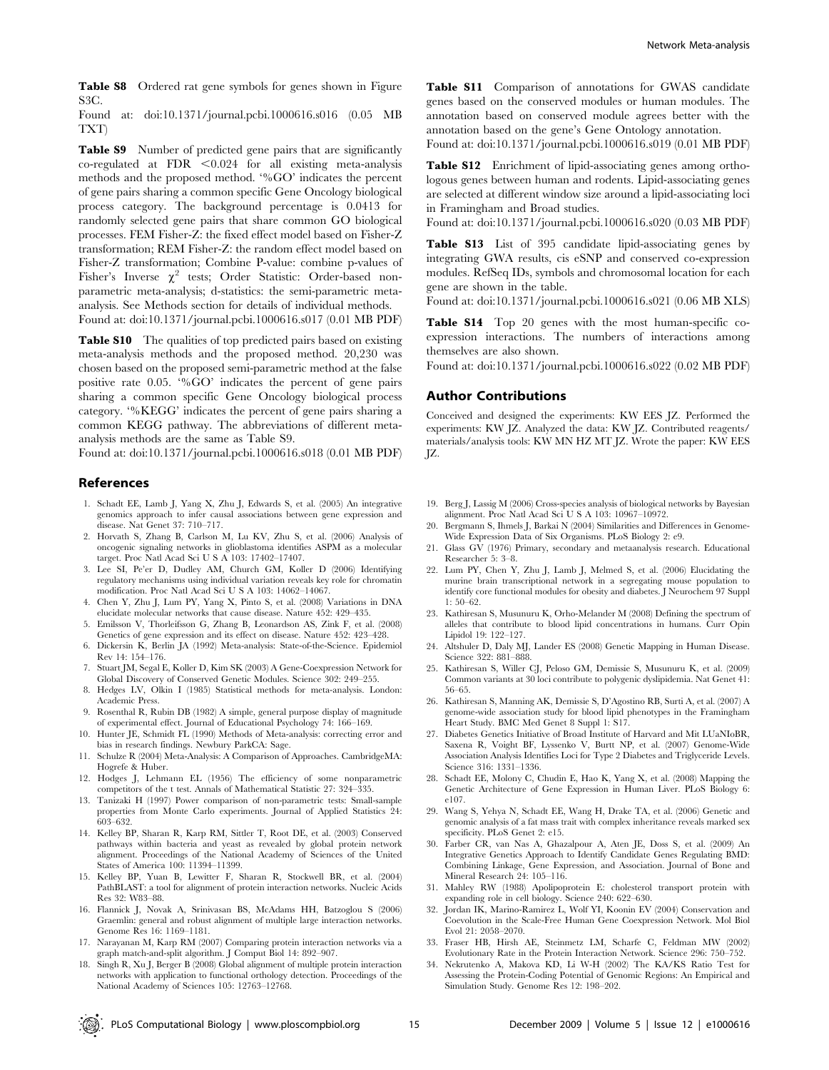Table S8 Ordered rat gene symbols for genes shown in Figure S3C.

Found at: doi:10.1371/journal.pcbi.1000616.s016 (0.05 MB TXT)

Table S9 Number of predicted gene pairs that are significantly  $co-regulated$  at  $FDR < 0.024$  for all existing meta-analysis methods and the proposed method. '%GO' indicates the percent of gene pairs sharing a common specific Gene Oncology biological process category. The background percentage is 0.0413 for randomly selected gene pairs that share common GO biological processes. FEM Fisher-Z: the fixed effect model based on Fisher-Z transformation; REM Fisher-Z: the random effect model based on Fisher-Z transformation; Combine P-value: combine p-values of Fisher's Inverse  $\chi^2$  tests; Order Statistic: Order-based nonparametric meta-analysis; d-statistics: the semi-parametric metaanalysis. See Methods section for details of individual methods. Found at: doi:10.1371/journal.pcbi.1000616.s017 (0.01 MB PDF)

Table S10 The qualities of top predicted pairs based on existing meta-analysis methods and the proposed method. 20,230 was chosen based on the proposed semi-parametric method at the false positive rate 0.05. '%GO' indicates the percent of gene pairs sharing a common specific Gene Oncology biological process category. '%KEGG' indicates the percent of gene pairs sharing a common KEGG pathway. The abbreviations of different metaanalysis methods are the same as Table S9.

Found at: doi:10.1371/journal.pcbi.1000616.s018 (0.01 MB PDF)

#### References

- 1. Schadt EE, Lamb J, Yang X, Zhu J, Edwards S, et al. (2005) An integrative genomics approach to infer causal associations between gene expression and disease. Nat Genet 37: 710–717.
- 2. Horvath S, Zhang B, Carlson M, Lu KV, Zhu S, et al. (2006) Analysis of oncogenic signaling networks in glioblastoma identifies ASPM as a molecular target. Proc Natl Acad Sci U S A 103: 17402–17407.
- 3. Lee SI, Pe'er D, Dudley AM, Church GM, Koller D (2006) Identifying regulatory mechanisms using individual variation reveals key role for chromatin modification. Proc Natl Acad Sci U S A 103: 14062–14067.
- 4. Chen Y, Zhu J, Lum PY, Yang X, Pinto S, et al. (2008) Variations in DNA elucidate molecular networks that cause disease. Nature 452: 429–435.
- 5. Emilsson V, Thorleifsson G, Zhang B, Leonardson AS, Zink F, et al. (2008) Genetics of gene expression and its effect on disease. Nature 452: 423–428.
- 6. Dickersin K, Berlin JA (1992) Meta-analysis: State-of-the-Science. Epidemiol Rev 14: 154–176.
- 7. Stuart JM, Segal E, Koller D, Kim SK (2003) A Gene-Coexpression Network for Global Discovery of Conserved Genetic Modules. Science 302: 249–255.
- 8. Hedges LV, Olkin I (1985) Statistical methods for meta-analysis. London: Academic Press.
- 9. Rosenthal R, Rubin DB (1982) A simple, general purpose display of magnitude of experimental effect. Journal of Educational Psychology 74: 166–169.
- 10. Hunter JE, Schmidt FL (1990) Methods of Meta-analysis: correcting error and bias in research findings. Newbury ParkCA: Sage.
- 11. Schulze R (2004) Meta-Analysis: A Comparison of Approaches. CambridgeMA: Hogrefe & Huber.
- 12. Hodges J, Lehmann EL (1956) The efficiency of some nonparametric competitors of the t test. Annals of Mathematical Statistic 27: 324–335.
- 13. Tanizaki H (1997) Power comparison of non-parametric tests: Small-sample properties from Monte Carlo experiments. Journal of Applied Statistics 24: 603–632.
- 14. Kelley BP, Sharan R, Karp RM, Sittler T, Root DE, et al. (2003) Conserved pathways within bacteria and yeast as revealed by global protein network alignment. Proceedings of the National Academy of Sciences of the United States of America 100: 11394–11399.
- 15. Kelley BP, Yuan B, Lewitter F, Sharan R, Stockwell BR, et al. (2004) PathBLAST: a tool for alignment of protein interaction networks. Nucleic Acids Res 32: W83–88.
- 16. Flannick J, Novak A, Srinivasan BS, McAdams HH, Batzoglou S (2006) Graemlin: general and robust alignment of multiple large interaction networks. Genome Res 16: 1169–1181.
- 17. Narayanan M, Karp RM (2007) Comparing protein interaction networks via a graph match-and-split algorithm. J Comput Biol 14: 892–907.
- 18. Singh R, Xu J, Berger B (2008) Global alignment of multiple protein interaction networks with application to functional orthology detection. Proceedings of the National Academy of Sciences 105: 12763–12768.

Table S11 Comparison of annotations for GWAS candidate genes based on the conserved modules or human modules. The annotation based on conserved module agrees better with the annotation based on the gene's Gene Ontology annotation. Found at: doi:10.1371/journal.pcbi.1000616.s019 (0.01 MB PDF)

Table S12 Enrichment of lipid-associating genes among orthologous genes between human and rodents. Lipid-associating genes are selected at different window size around a lipid-associating loci in Framingham and Broad studies.

Found at: doi:10.1371/journal.pcbi.1000616.s020 (0.03 MB PDF)

Table S13 List of 395 candidate lipid-associating genes by integrating GWA results, cis eSNP and conserved co-expression modules. RefSeq IDs, symbols and chromosomal location for each gene are shown in the table.

Found at: doi:10.1371/journal.pcbi.1000616.s021 (0.06 MB XLS)

Table S14 Top 20 genes with the most human-specific coexpression interactions. The numbers of interactions among themselves are also shown.

Found at: doi:10.1371/journal.pcbi.1000616.s022 (0.02 MB PDF)

### Author Contributions

Conceived and designed the experiments: KW EES JZ. Performed the experiments: KW JZ. Analyzed the data: KW JZ. Contributed reagents/ materials/analysis tools: KW MN HZ MT JZ. Wrote the paper: KW EES JZ.

- 19. Berg J, Lassig M (2006) Cross-species analysis of biological networks by Bayesian alignment. Proc Natl Acad Sci U S A 103: 10967–10972.
- 20. Bergmann S, Ihmels J, Barkai N (2004) Similarities and Differences in Genome-Wide Expression Data of Six Organisms. PLoS Biology 2: e9.
- 21. Glass GV (1976) Primary, secondary and metaanalysis research. Educational Researcher 5: 3–8.
- 22. Lum PY, Chen Y, Zhu J, Lamb J, Melmed S, et al. (2006) Elucidating the murine brain transcriptional network in a segregating mouse population to identify core functional modules for obesity and diabetes. J Neurochem 97 Suppl 1: 50–62.
- 23. Kathiresan S, Musunuru K, Orho-Melander M (2008) Defining the spectrum of alleles that contribute to blood lipid concentrations in humans. Curr Opin Lipidol 19: 122–127.
- 24. Altshuler D, Daly MJ, Lander ES (2008) Genetic Mapping in Human Disease. Science 322: 881–888.
- 25. Kathiresan S, Willer CJ, Peloso GM, Demissie S, Musunuru K, et al. (2009) Common variants at 30 loci contribute to polygenic dyslipidemia. Nat Genet 41: 56–65.
- 26. Kathiresan S, Manning AK, Demissie S, D'Agostino RB, Surti A, et al. (2007) A genome-wide association study for blood lipid phenotypes in the Framingham Heart Study. BMC Med Genet 8 Suppl 1: S17.
- 27. Diabetes Genetics Initiative of Broad Institute of Harvard and Mit LUaNIoBR, Saxena R, Voight BF, Lyssenko V, Burtt NP, et al. (2007) Genome-Wide Association Analysis Identifies Loci for Type 2 Diabetes and Triglyceride Levels. Science 316: 1331–1336.
- 28. Schadt EE, Molony C, Chudin E, Hao K, Yang X, et al. (2008) Mapping the Genetic Architecture of Gene Expression in Human Liver. PLoS Biology 6: e107.
- 29. Wang S, Yehya N, Schadt EE, Wang H, Drake TA, et al. (2006) Genetic and genomic analysis of a fat mass trait with complex inheritance reveals marked sex specificity. PLoS Genet 2: e15.
- 30. Farber CR, van Nas A, Ghazalpour A, Aten JE, Doss S, et al. (2009) An Integrative Genetics Approach to Identify Candidate Genes Regulating BMD: Combining Linkage, Gene Expression, and Association. Journal of Bone and Mineral Research 24: 105–116.
- 31. Mahley RW (1988) Apolipoprotein E: cholesterol transport protein with expanding role in cell biology. Science 240: 622–630.
- 32. Jordan IK, Marino-Ramirez L, Wolf YI, Koonin EV (2004) Conservation and Coevolution in the Scale-Free Human Gene Coexpression Network. Mol Biol Evol 21: 2058–2070.
- 33. Fraser HB, Hirsh AE, Steinmetz LM, Scharfe C, Feldman MW (2002) Evolutionary Rate in the Protein Interaction Network. Science 296: 750–752.
- 34. Nekrutenko A, Makova KD, Li W-H (2002) The KA/KS Ratio Test for Assessing the Protein-Coding Potential of Genomic Regions: An Empirical and Simulation Study. Genome Res 12: 198–202.